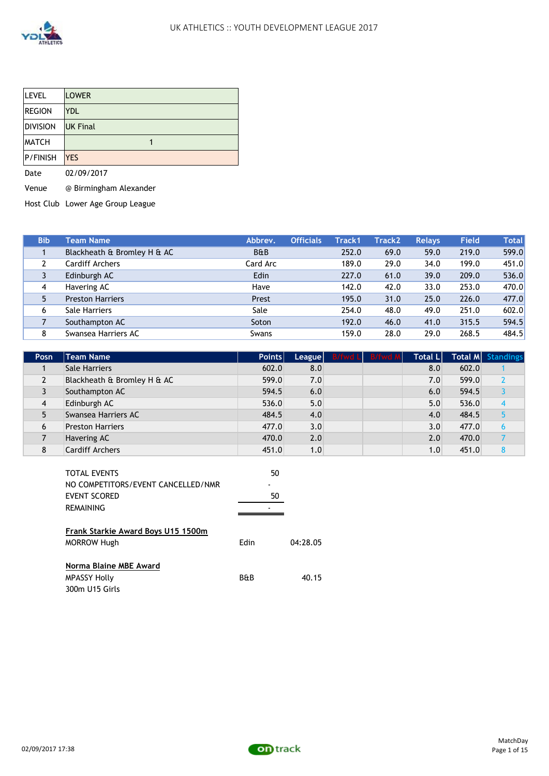

| <b>LEVEL</b>    | <b>LOWER</b>    |
|-----------------|-----------------|
| <b>REGION</b>   | <b>YDL</b>      |
| <b>DIVISION</b> | <b>UK Final</b> |
| <b>MATCH</b>    |                 |
| P/FINISH        | <b>YES</b>      |
| Date            | 02/09/2017      |

Venue @ Birmingham Alexander

Host Club Lower Age Group League

| <b>Bib</b> | <b>Team Name</b>            | Abbrey.        | <b>Officials</b> | Track1 | <b>Track2</b> | <b>Relays</b> | Field | <b>Total</b> |
|------------|-----------------------------|----------------|------------------|--------|---------------|---------------|-------|--------------|
|            | Blackheath & Bromley H & AC | <b>B&amp;B</b> |                  | 252.0  | 69.0          | 59.0          | 219.0 | 599.0        |
|            | <b>Cardiff Archers</b>      | Card Arc       |                  | 189.0  | 29.0          | 34.0          | 199.0 | 451.0        |
|            | Edinburgh AC                | Edin           |                  | 227.0  | 61.0          | 39.0          | 209.0 | 536.0        |
| 4          | Havering AC                 | Have           |                  | 142.0  | 42.0          | 33.0          | 253.0 | 470.0        |
| 5          | <b>Preston Harriers</b>     | Prest          |                  | 195.0  | 31.0          | 25.0          | 226.0 | 477.0        |
| 6          | <b>Sale Harriers</b>        | Sale           |                  | 254.0  | 48.0          | 49.0          | 251.0 | 602.0        |
|            | Southampton AC              | Soton          |                  | 192.0  | 46.0          | 41.0          | 315.5 | 594.5        |
| 8          | Swansea Harriers AC         | Swans          |                  | 159.0  | 28.0          | 29.0          | 268.5 | 484.5        |

| Posn           | <b>Team Name</b>            | <b>Points</b> |     | League B/fwd L B/fwd M | <b>Total LI</b>  |       | Total M Standings |
|----------------|-----------------------------|---------------|-----|------------------------|------------------|-------|-------------------|
|                | <b>Sale Harriers</b>        | 602.0         | 8.0 |                        | 8.0              | 602.0 |                   |
| $\overline{2}$ | Blackheath & Bromley H & AC | 599.0         | 7.0 |                        | 7.0              | 599.0 |                   |
|                | Southampton AC              | 594.5         | 6.0 |                        | 6.0              | 594.5 |                   |
| 4              | Edinburgh AC                | 536.0         | 5.0 |                        | 5.0              | 536.0 |                   |
|                | Swansea Harriers AC         | 484.5         | 4.0 |                        | 4.0              | 484.5 |                   |
| 6              | <b>Preston Harriers</b>     | 477.0         | 3.0 |                        | 3.0              | 477.0 | 6                 |
|                | Havering AC                 | 470.0         | 2.0 |                        | 2.0              | 470.0 |                   |
| 8              | <b>Cardiff Archers</b>      | 451.0         | 1.0 |                        | 1.0 <sub>l</sub> | 451.0 |                   |

|                | 50       |
|----------------|----------|
|                |          |
|                | 50       |
|                |          |
| Edin           | 04:28.05 |
| <b>B&amp;B</b> | 40.15    |
|                |          |

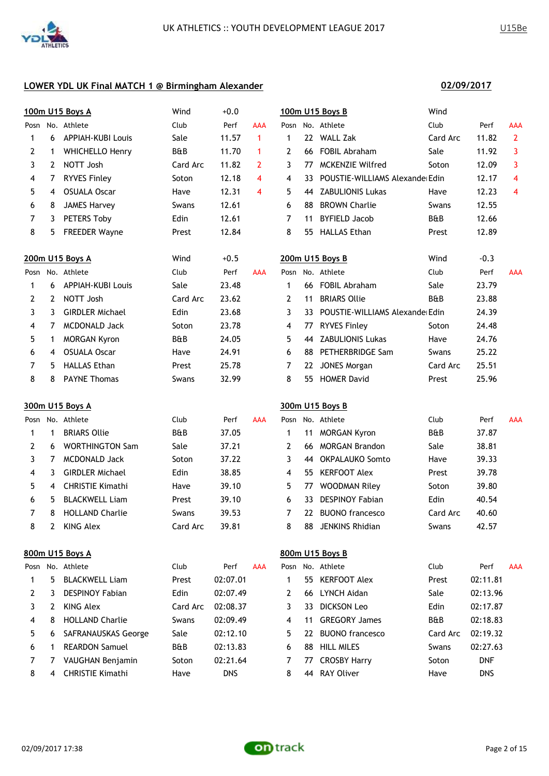

**02/09/2017**

|              |             | 100m U15 Boys A          | Wind     | $+0.0$     |                |                |    | 100m U15 Boys B                 | Wind           |            |                |
|--------------|-------------|--------------------------|----------|------------|----------------|----------------|----|---------------------------------|----------------|------------|----------------|
|              |             | Posn No. Athlete         | Club     | Perf       | <b>AAA</b>     | Posn           |    | No. Athlete                     | Club           | Perf       | AAA            |
| $\mathbf{1}$ | 6           | <b>APPIAH-KUBI Louis</b> | Sale     | 11.57      | $\mathbf{1}$   | $\mathbf{1}$   |    | 22 WALL Zak                     | Card Arc       | 11.82      | $\overline{2}$ |
| 2            | $\mathbf 1$ | <b>WHICHELLO Henry</b>   | B&B      | 11.70      | $\mathbf{1}$   | $\overline{2}$ |    | 66 FOBIL Abraham                | Sale           | 11.92      | 3              |
| 3            | 2           | NOTT Josh                | Card Arc | 11.82      | $\overline{2}$ | 3              | 77 | <b>MCKENZIE Wilfred</b>         | Soton          | 12.09      | 3              |
| 4            | 7           | <b>RYVES Finley</b>      | Soton    | 12.18      | 4              | 4              | 33 | POUSTIE-WILLIAMS Alexander Edin |                | 12.17      | 4              |
| 5            | 4           | <b>OSUALA Oscar</b>      | Have     | 12.31      | 4              | 5              | 44 | <b>ZABULIONIS Lukas</b>         | Have           | 12.23      | 4              |
| 6            | 8           | <b>JAMES Harvey</b>      | Swans    | 12.61      |                | 6              | 88 | <b>BROWN Charlie</b>            | Swans          | 12.55      |                |
| 7            | 3           | PETERS Toby              | Edin     | 12.61      |                | 7              | 11 | <b>BYFIELD Jacob</b>            | B&B            | 12.66      |                |
| 8            | 5           | <b>FREEDER Wayne</b>     | Prest    | 12.84      |                | 8              | 55 | <b>HALLAS Ethan</b>             | Prest          | 12.89      |                |
|              |             | 200m U15 Boys A          | Wind     | $+0.5$     |                |                |    | 200m U15 Boys B                 | Wind           | $-0.3$     |                |
|              |             | Posn No. Athlete         | Club     | Perf       | <b>AAA</b>     |                |    | Posn No. Athlete                | Club           | Perf       | <b>AAA</b>     |
| 1            | 6           | <b>APPIAH-KUBI Louis</b> | Sale     | 23.48      |                | 1              |    | 66 FOBIL Abraham                | Sale           | 23.79      |                |
| 2            | 2           | NOTT Josh                | Card Arc | 23.62      |                | $\overline{2}$ | 11 | <b>BRIARS Ollie</b>             | B&B            | 23.88      |                |
| 3            | 3           | <b>GIRDLER Michael</b>   | Edin     | 23.68      |                | 3              | 33 | POUSTIE-WILLIAMS Alexander Edin |                | 24.39      |                |
| 4            | 7           | <b>MCDONALD Jack</b>     | Soton    | 23.78      |                | 4              | 77 | <b>RYVES Finley</b>             | Soton          | 24.48      |                |
| 5            | $\mathbf 1$ | <b>MORGAN Kyron</b>      | B&B      | 24.05      |                | 5              |    | 44 ZABULIONIS Lukas             | Have           | 24.76      |                |
| 6            | 4           | <b>OSUALA Oscar</b>      | Have     | 24.91      |                | 6              | 88 | PETHERBRIDGE Sam                | Swans          | 25.22      |                |
| 7            | 5.          | <b>HALLAS Ethan</b>      | Prest    | 25.78      |                | 7              | 22 | <b>JONES Morgan</b>             | Card Arc       | 25.51      |                |
| 8            | 8           | <b>PAYNE Thomas</b>      | Swans    | 32.99      |                | 8              | 55 | <b>HOMER David</b>              | Prest          | 25.96      |                |
|              |             | 300m U15 Boys A          |          |            |                |                |    | 300m U15 Boys B                 |                |            |                |
| Posn         |             | No. Athlete              | Club     | Perf       | <b>AAA</b>     | Posn           |    | No. Athlete                     | Club           | Perf       | <b>AAA</b>     |
| 1            | 1           | <b>BRIARS Ollie</b>      | B&B      | 37.05      |                | 1              | 11 | <b>MORGAN Kyron</b>             | B&B            | 37.87      |                |
| 2            | 6           | <b>WORTHINGTON Sam</b>   | Sale     | 37.21      |                | $\overline{2}$ |    | 66 MORGAN Brandon               | Sale           | 38.81      |                |
| 3            | 7           | <b>MCDONALD Jack</b>     | Soton    | 37.22      |                | 3              |    | 44 OKPALAUKO Somto              | Have           | 39.33      |                |
| 4            | 3           | <b>GIRDLER Michael</b>   | Edin     | 38.85      |                | 4              | 55 | <b>KERFOOT Alex</b>             | Prest          | 39.78      |                |
| 5            | 4           | <b>CHRISTIE Kimathi</b>  | Have     | 39.10      |                | 5              | 77 | <b>WOODMAN Riley</b>            | Soton          | 39.80      |                |
| 6            | 5           | <b>BLACKWELL Liam</b>    | Prest    | 39.10      |                | 6              | 33 | <b>DESPINOY Fabian</b>          | Edin           | 40.54      |                |
| 7            |             | 8 HOLLAND Charlie        | Swans    | 39.53      |                | 7              | 22 | <b>BUONO</b> francesco          | Card Arc       | 40.60      |                |
| 8            | 2           | <b>KING Alex</b>         | Card Arc | 39.81      |                | 8              |    | 88 JENKINS Rhidian              | Swans          | 42.57      |                |
|              |             | 800m U15 Boys A          |          |            |                |                |    | 800m U15 Boys B                 |                |            |                |
|              |             | Posn No. Athlete         | Club     | Perf       | <b>AAA</b>     |                |    | Posn No. Athlete                | Club           | Perf       | <b>AAA</b>     |
| 1            | 5.          | <b>BLACKWELL Liam</b>    | Prest    | 02:07.01   |                | 1              |    | 55 KERFOOT Alex                 | Prest          | 02:11.81   |                |
| 2            | 3           | <b>DESPINOY Fabian</b>   | Edin     | 02:07.49   |                | 2              |    | 66 LYNCH Aidan                  | Sale           | 02:13.96   |                |
| 3            | 2           | <b>KING Alex</b>         | Card Arc | 02:08.37   |                | 3              |    | 33 DICKSON Leo                  | Edin           | 02:17.87   |                |
| 4            | 8           | <b>HOLLAND Charlie</b>   | Swans    | 02:09.49   |                | 4              | 11 | <b>GREGORY James</b>            | <b>B&amp;B</b> | 02:18.83   |                |
| 5            | 6           | SAFRANAUSKAS George      | Sale     | 02:12.10   |                | 5              |    | 22 BUONO francesco              | Card Arc       | 02:19.32   |                |
| 6            | 1           | <b>REARDON Samuel</b>    | B&B      | 02:13.83   |                | 6              |    | 88 HILL MILES                   | Swans          | 02:27.63   |                |
| 7            | 7           | VAUGHAN Benjamin         | Soton    | 02:21.64   |                | 7              | 77 | <b>CROSBY Harry</b>             | Soton          | <b>DNF</b> |                |
| 8            | 4           | <b>CHRISTIE Kimathi</b>  | Have     | <b>DNS</b> |                | 8              |    | 44 RAY Oliver                   | Have           | <b>DNS</b> |                |

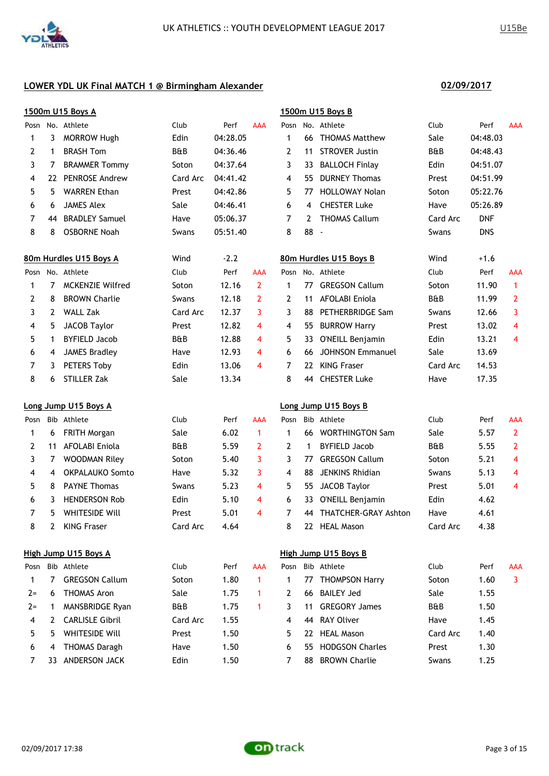

|       |              | 1500m U15 Boys A        |          |          |                |                |             | 1500m U15 Boys B        |                |            |                |
|-------|--------------|-------------------------|----------|----------|----------------|----------------|-------------|-------------------------|----------------|------------|----------------|
|       |              | Posn No. Athlete        | Club     | Perf     | <b>AAA</b>     |                |             | Posn No. Athlete        | Club           | Perf       | AAA            |
| 1     | 3            | <b>MORROW Hugh</b>      | Edin     | 04:28.05 |                | $\mathbf 1$    |             | 66 THOMAS Matthew       | Sale           | 04:48.03   |                |
| 2     | 1            | <b>BRASH Tom</b>        | B&B      | 04:36.46 |                | $\overline{2}$ | 11          | <b>STROVER Justin</b>   | <b>B&amp;B</b> | 04:48.43   |                |
| 3     | 7            | <b>BRAMMER Tommy</b>    | Soton    | 04:37.64 |                | 3              | 33.         | <b>BALLOCH Finlay</b>   | Edin           | 04:51.07   |                |
| 4     | 22           | PENROSE Andrew          | Card Arc | 04:41.42 |                | 4              | 55          | <b>DURNEY Thomas</b>    | Prest          | 04:51.99   |                |
| 5     | 5.           | <b>WARREN Ethan</b>     | Prest    | 04:42.86 |                | 5              | 77          | <b>HOLLOWAY Nolan</b>   | Soton          | 05:22.76   |                |
| 6     | 6            | <b>JAMES Alex</b>       | Sale     | 04:46.41 |                | 6              | 4           | <b>CHESTER Luke</b>     | Have           | 05:26.89   |                |
| 7     | 44           | <b>BRADLEY Samuel</b>   | Have     | 05:06.37 |                | 7              | 2           | <b>THOMAS Callum</b>    | Card Arc       | <b>DNF</b> |                |
| 8     | 8            | <b>OSBORNE Noah</b>     | Swans    | 05:51.40 |                | 8              | 88          | $\sim$                  | Swans          | <b>DNS</b> |                |
|       |              | 80m Hurdles U15 Boys A  | Wind     | $-2.2$   |                |                |             | 80m Hurdles U15 Boys B  | Wind           | $+1.6$     |                |
| Posn  |              | No. Athlete             | Club     | Perf     | <b>AAA</b>     |                |             | Posn No. Athlete        | Club           | Perf       | AAA            |
| 1     | 7            | <b>MCKENZIE Wilfred</b> | Soton    | 12.16    | $\overline{2}$ | $\mathbf 1$    | 77          | <b>GREGSON Callum</b>   | Soton          | 11.90      | $\mathbf{1}$   |
| 2     | 8            | <b>BROWN Charlie</b>    | Swans    | 12.18    | 2              | 2              | 11          | <b>AFOLABI Eniola</b>   | <b>B&amp;B</b> | 11.99      | $\overline{2}$ |
| 3     | 2            | <b>WALL Zak</b>         | Card Arc | 12.37    | 3              | 3              | 88          | PETHERBRIDGE Sam        | Swans          | 12.66      | 3              |
| 4     | 5            | <b>JACOB Taylor</b>     | Prest    | 12.82    | 4              | 4              | 55          | <b>BURROW Harry</b>     | Prest          | 13.02      | 4              |
| 5     | $\mathbf{1}$ | <b>BYFIELD Jacob</b>    | B&B      | 12.88    | 4              | 5              | 33          | O'NEILL Benjamin        | Edin           | 13.21      | 4              |
| 6     | 4            | <b>JAMES Bradley</b>    | Have     | 12.93    | 4              | 6              | 66          | <b>JOHNSON Emmanuel</b> | Sale           | 13.69      |                |
| 7     | 3            | PETERS Toby             | Edin     | 13.06    | 4              | 7              |             | 22 KING Fraser          | Card Arc       | 14.53      |                |
| 8     | 6            | STILLER Zak             | Sale     | 13.34    |                | 8              |             | 44 CHESTER Luke         | Have           | 17.35      |                |
|       |              | Long Jump U15 Boys A    |          |          |                |                |             | Long Jump U15 Boys B    |                |            |                |
| Posn  |              | Bib Athlete             | Club     | Perf     | AAA            | Posn           |             | Bib Athlete             | Club           | Perf       | AAA            |
| 1     | 6            | <b>FRITH Morgan</b>     | Sale     | 6.02     | 1              | $\mathbf{1}$   |             | 66 WORTHINGTON Sam      | Sale           | 5.57       | $\overline{2}$ |
| 2     | 11           | AFOLABI Eniola          | B&B      | 5.59     | $\mathbf{2}$   | $\mathbf{2}$   | $\mathbf 1$ | <b>BYFIELD Jacob</b>    | <b>B&amp;B</b> | 5.55       | $\overline{2}$ |
| 3     | 7            | <b>WOODMAN Riley</b>    | Soton    | 5.40     | 3              | 3              | 77          | <b>GREGSON Callum</b>   | Soton          | 5.21       | 4              |
| 4     | 4            | <b>OKPALAUKO Somto</b>  | Have     | 5.32     | 3              | 4              | 88          | <b>JENKINS Rhidian</b>  | Swans          | 5.13       | 4              |
| 5     | 8            | <b>PAYNE Thomas</b>     | Swans    | 5.23     | 4              | 5              | 55          | <b>JACOB Taylor</b>     | Prest          | 5.01       | 4              |
| 6     | 3            | <b>HENDERSON Rob</b>    | Edin     | 5.10     | 4              | 6              | 33          | O'NEILL Benjamin        | Edin           | 4.62       |                |
| 7     | 5.           | WHITESIDE Will          | Prest    | 5.01     | 4              | 7              |             | 44 THATCHER-GRAY Ashton | Have           | 4.61       |                |
| 8     | 2            | <b>KING Fraser</b>      | Card Arc | 4.64     |                | 8              |             | 22 HEAL Mason           | Card Arc       | 4.38       |                |
|       |              | High Jump U15 Boys A    |          |          |                |                |             | High Jump U15 Boys B    |                |            |                |
|       |              | Posn Bib Athlete        | Club     | Perf     | AAA            |                |             | Posn Bib Athlete        | Club           | Perf       | <b>AAA</b>     |
| 1     | 7            | <b>GREGSON Callum</b>   | Soton    | 1.80     | 1              | 1              |             | 77 THOMPSON Harry       | Soton          | 1.60       | 3              |
| $2 =$ | 6            | <b>THOMAS Aron</b>      | Sale     | 1.75     | 1              | 2              | 66          | <b>BAILEY Jed</b>       | Sale           | 1.55       |                |
| $2 =$ | 1            | MANSBRIDGE Ryan         | B&B      | 1.75     | 1              | 3              | 11          | <b>GREGORY James</b>    | B&B            | 1.50       |                |
| 4     | 2            | <b>CARLISLE Gibril</b>  | Card Arc | 1.55     |                | 4              | 44          | <b>RAY Oliver</b>       | Have           | 1.45       |                |
| 5     | 5            | WHITESIDE Will          | Prest    | 1.50     |                | 5              |             | 22 HEAL Mason           | Card Arc       | 1.40       |                |
| 6     | 4            | <b>THOMAS Daragh</b>    | Have     | 1.50     |                | 6              | 55          | <b>HODGSON Charles</b>  | Prest          | 1.30       |                |
| 7     |              | 33 ANDERSON JACK        | Edin     | 1.50     |                | 7              |             | 88 BROWN Charlie        | Swans          | 1.25       |                |

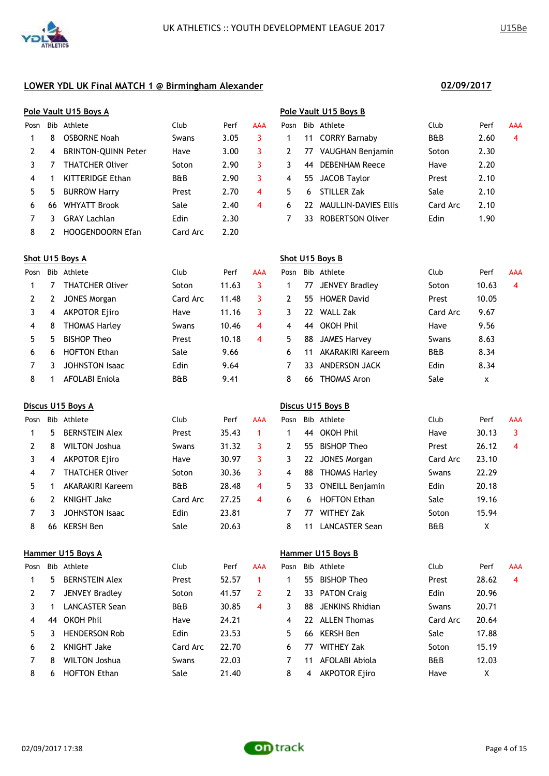|      |     | Pole Vault U15 Boys A      |                |      |            | Pole Vault U15 Boys B |     |                             |                |      |            |
|------|-----|----------------------------|----------------|------|------------|-----------------------|-----|-----------------------------|----------------|------|------------|
| Posn | Bib | Athlete                    | Club           | Perf | <b>AAA</b> | Posn                  |     | Bib Athlete                 | Club           | Perf | <b>AAA</b> |
|      | 8   | <b>OSBORNE Noah</b>        | Swans          | 3.05 |            |                       | 11  | <b>CORRY Barnaby</b>        | <b>B&amp;B</b> | 2.60 | 4          |
| 2    | 4   | <b>BRINTON-OUINN Peter</b> | Have           | 3.00 | 3          |                       | 77  | VAUGHAN Benjamin            | Soton          | 2.30 |            |
| 3    |     | <b>THATCHER Oliver</b>     | Soton          | 2.90 | 3          | 3.                    | 44  | <b>DEBENHAM Reece</b>       | Have           | 2.20 |            |
| 4    |     | <b>KITTERIDGE Ethan</b>    | <b>B&amp;B</b> | 2.90 | 3          | 4                     | 55. | JACOB Taylor                | Prest          | 2.10 |            |
| 5    | 5   | <b>BURROW Harry</b>        | Prest          | 2.70 | 4          | 5.                    | 6   | STILLER Zak                 | Sale           | 2.10 |            |
| 6    | 66  | <b>WHYATT Brook</b>        | Sale           | 2.40 | 4          | 6                     | 22  | <b>MAULLIN-DAVIES Ellis</b> | Card Arc       | 2.10 |            |
|      |     | <b>GRAY Lachlan</b>        | Edin           | 2.30 |            |                       | 33  | <b>ROBERTSON Oliver</b>     | Edin           | 1.90 |            |
| 8    |     | HOOGENDOORN Efan           | Card Arc       | 2.20 |            |                       |     |                             |                |      |            |

|              | ole Vault U15 Boys B' |                         |          |      |     |  |  |  |  |  |  |
|--------------|-----------------------|-------------------------|----------|------|-----|--|--|--|--|--|--|
|              |                       | Posn Bib Athlete        | Club     | Perf | AAA |  |  |  |  |  |  |
| $\mathbf{1}$ |                       | 11 CORRY Barnaby        | B&B      | 2.60 | 4   |  |  |  |  |  |  |
| $\mathbf{2}$ |                       | 77 VAUGHAN Benjamin     | Soton    | 2.30 |     |  |  |  |  |  |  |
| 3            |                       | 44 DEBENHAM Reece       | Have     | 2.20 |     |  |  |  |  |  |  |
| 4            |                       | 55 JACOB Taylor         | Prest    | 2.10 |     |  |  |  |  |  |  |
| 5.           | 6.                    | STILLER Zak             | Sale     | 2.10 |     |  |  |  |  |  |  |
| 6            |                       | 22 MAULLIN-DAVIES Ellis | Card Arc | 2.10 |     |  |  |  |  |  |  |
| 7            |                       | 33 ROBERTSON Oliver     | Edin     | 1.90 |     |  |  |  |  |  |  |

|      |    | Shot U15 Boys A        |                |       |            | Shot U15 Boys B |     |                         |                |       |            |  |
|------|----|------------------------|----------------|-------|------------|-----------------|-----|-------------------------|----------------|-------|------------|--|
| Posn |    | Bib Athlete            | Club           | Perf  | <b>AAA</b> | Posn            |     | Bib Athlete             | Club           | Perf  | <b>AAA</b> |  |
|      |    | <b>THATCHER Oliver</b> | Soton          | 11.63 | 3          |                 | 77  | <b>JENVEY Bradley</b>   | Soton          | 10.63 | -4         |  |
| 2    | 2  | JONES Morgan           | Card Arc       | 11.48 |            |                 | 55  | <b>HOMER David</b>      | Prest          | 10.05 |            |  |
| 3    | 4  | <b>AKPOTOR Ejiro</b>   | Have           | 11.16 |            |                 | 22  | <b>WALL Zak</b>         | Card Arc       | 9.67  |            |  |
| 4    | 8  | <b>THOMAS Harley</b>   | Swans          | 10.46 | 4          | 4               | -44 | OKOH Phil               | Have           | 9.56  |            |  |
| 5.   | 5. | <b>BISHOP Theo</b>     | Prest          | 10.18 | 4          | 5.              | 88  | <b>JAMES Harvey</b>     | Swans          | 8.63  |            |  |
| 6    | 6  | <b>HOFTON Ethan</b>    | Sale           | 9.66  |            | 6.              |     | <b>AKARAKIRI Kareem</b> | <b>B&amp;B</b> | 8.34  |            |  |
|      | ٦  | <b>JOHNSTON Isaac</b>  | Edin           | 9.64  |            |                 | 33  | ANDERSON JACK           | Edin           | 8.34  |            |  |
| 8    |    | AFOLABI Eniola         | <b>B&amp;B</b> | 9.41  |            | 8               | 66  | <b>THOMAS Aron</b>      | Sale           | x     |            |  |

# **Discus U15 Boys A Discus U15 Boys B**

| Posn |    | Bib Athlete             | Club           | Perf  | AAA | Posn |    | Bib Athlete          | Club           | Perf  | <b>AAA</b> |
|------|----|-------------------------|----------------|-------|-----|------|----|----------------------|----------------|-------|------------|
|      | 5. | <b>BERNSTEIN Alex</b>   | Prest          | 35.43 |     |      | 44 | <b>OKOH Phil</b>     | Have           | 30.13 |            |
|      | 8  | <b>WILTON Joshua</b>    | Swans          | 31.32 |     |      | 55 | <b>BISHOP Theo</b>   | Prest          | 26.12 | 4          |
|      | 4  | <b>AKPOTOR Ejiro</b>    | Have           | 30.97 |     |      | 22 | JONES Morgan         | Card Arc       | 23.10 |            |
| 4    |    | <b>THATCHER Oliver</b>  | Soton          | 30.36 | 3   | 4    | 88 | <b>THOMAS Harley</b> | Swans          | 22.29 |            |
|      |    | <b>AKARAKIRI Kareem</b> | <b>B&amp;B</b> | 28.48 | 4   | 5.   | 33 | O'NEILL Benjamin     | Edin           | 20.18 |            |
| 6    |    | <b>KNIGHT Jake</b>      | Card Arc       | 27.25 | 4   | 6    | 6  | <b>HOFTON Ethan</b>  | Sale           | 19.16 |            |
|      |    | <b>JOHNSTON Isaac</b>   | Edin           | 23.81 |     |      | 77 | <b>WITHEY Zak</b>    | Soton          | 15.94 |            |
| 8    | 66 | KERSH Ben               | Sale           | 20.63 |     | 8    | 11 | LANCASTER Sean       | <b>B&amp;B</b> | χ     |            |

### **Hammer U15 Boys A Hammer U15 Boys B**

| Posn |    | Bib Athlete           | Club           | Perf  | <b>AAA</b> | Posn |     | Bib Athlete          | Club           | Perf  | <b>AAA</b> |
|------|----|-----------------------|----------------|-------|------------|------|-----|----------------------|----------------|-------|------------|
|      | 5. | <b>BERNSTEIN Alex</b> | Prest          | 52.57 |            |      | 55. | BISHOP Theo          | Prest          | 28.62 | 4          |
|      |    | <b>JENVEY Bradley</b> | Soton          | 41.57 |            |      |     | 33 PATON Craig       | Edin           | 20.96 |            |
|      |    | <b>LANCASTER Sean</b> | <b>B&amp;B</b> | 30.85 | 4          |      | 88  | JENKINS Rhidian      | Swans          | 20.71 |            |
| 4    | 44 | <b>OKOH Phil</b>      | Have           | 24.21 |            | 4    | 22  | <b>ALLEN Thomas</b>  | Card Arc       | 20.64 |            |
| 5.   |    | <b>HENDERSON Rob</b>  | Edin           | 23.53 |            | 5.   | 66. | KERSH Ben            | Sale           | 17.88 |            |
| 6    |    | <b>KNIGHT Jake</b>    | Card Arc       | 22.70 |            | 6    | 77  | <b>WITHEY Zak</b>    | Soton          | 15.19 |            |
|      | 8  | <b>WILTON Joshua</b>  | Swans          | 22.03 |            |      | 11  | AFOLABI Abiola       | <b>B&amp;B</b> | 12.03 |            |
| 8    | 6  | <b>HOFTON Ethan</b>   | Sale           | 21.40 |            | 8    | 4   | <b>AKPOTOR Ejiro</b> | Have           |       |            |

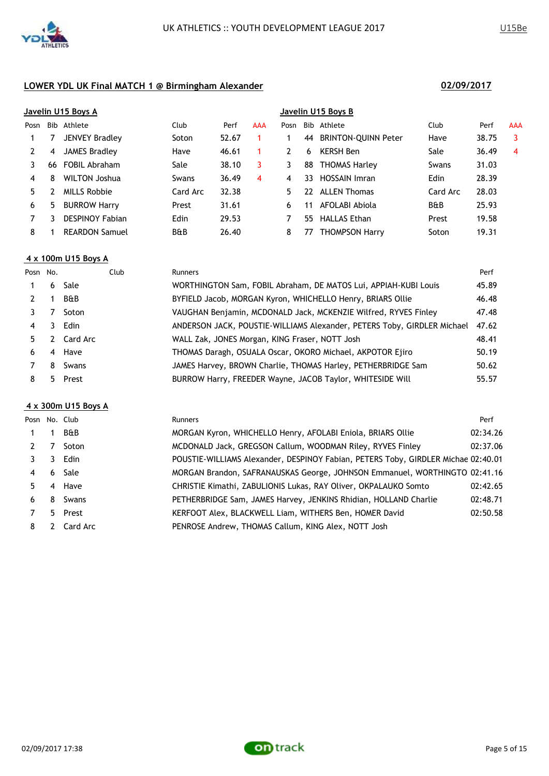

|      |    | Javelin U15 Boys A     |                |       |     | Javelin U15 Boys B |     |                            |                |       |            |
|------|----|------------------------|----------------|-------|-----|--------------------|-----|----------------------------|----------------|-------|------------|
| Posn |    | Bib Athlete            | Club           | Perf  | AAA | Posn               |     | Bib Athlete                | Club           | Perf  | <b>AAA</b> |
|      |    | <b>JENVEY Bradley</b>  | Soton          | 52.67 |     |                    | 44  | <b>BRINTON-QUINN Peter</b> | Have           | 38.75 | 3          |
|      | 4  | <b>JAMES Bradley</b>   | Have           | 46.61 |     | 2                  | 6   | <b>KERSH Ben</b>           | Sale           | 36.49 | 4          |
|      | 66 | <b>FOBIL Abraham</b>   | Sale           | 38.10 | 3   | 3                  | 88  | <b>THOMAS Harley</b>       | Swans          | 31.03 |            |
| 4    | 8  | <b>WILTON Joshua</b>   | Swans          | 36.49 | 4   | 4                  | 33. | <b>HOSSAIN Imran</b>       | <b>Edin</b>    | 28.39 |            |
| 5.   |    | <b>MILLS Robbie</b>    | Card Arc       | 32.38 |     | 5.                 |     | 22 ALLEN Thomas            | Card Arc       | 28.03 |            |
| 6    | 5  | <b>BURROW Harry</b>    | Prest          | 31.61 |     | 6.                 | 11  | AFOLABI Abiola             | <b>B&amp;B</b> | 25.93 |            |
|      |    | <b>DESPINOY Fabian</b> | Edin           | 29.53 |     |                    | 55  | <b>HALLAS Ethan</b>        | Prest          | 19.58 |            |
| 8    |    | <b>REARDON Samuel</b>  | <b>B&amp;B</b> | 26.40 |     | 8                  | 77  | <b>THOMPSON Harry</b>      | Soton          | 19.31 |            |
|      |    |                        |                |       |     |                    |     |                            |                |       |            |

# **4 x 100m U15 Boys A**

| Posn No.       |    | Club           | <b>Runners</b>                                                          | Perf  |
|----------------|----|----------------|-------------------------------------------------------------------------|-------|
|                |    | 6 Sale         | WORTHINGTON Sam, FOBIL Abraham, DE MATOS Lui, APPIAH-KUBI Louis         | 45.89 |
|                |    | <b>B&amp;B</b> | BYFIELD Jacob, MORGAN Kyron, WHICHELLO Henry, BRIARS Ollie              | 46.48 |
|                |    | Soton          | VAUGHAN Benjamin, MCDONALD Jack, MCKENZIE Wilfred, RYVES Finley         | 47.48 |
| $\overline{4}$ | 3. | Edin           | ANDERSON JACK, POUSTIE-WILLIAMS Alexander, PETERS Toby, GIRDLER Michael | 47.62 |
| 5.             |    | 2 Card Arc     | WALL Zak, JONES Morgan, KING Fraser, NOTT Josh                          | 48.41 |
| 6              |    | 4 Have         | THOMAS Daragh, OSUALA Oscar, OKORO Michael, AKPOTOR Ejiro               | 50.19 |
|                | 8  | Swans          | JAMES Harvey, BROWN Charlie, THOMAS Harley, PETHERBRIDGE Sam            | 50.62 |
| 8              |    | 5 Prest        | BURROW Harry, FREEDER Wayne, JACOB Taylor, WHITESIDE Will               | 55.57 |
|                |    |                |                                                                         |       |

### **4 x 300m U15 Boys A**

|             |   | Posn No. Club | <b>Runners</b>                                                                    | Perf     |
|-------------|---|---------------|-----------------------------------------------------------------------------------|----------|
| $\mathbf 1$ |   | B&B           | MORGAN Kyron, WHICHELLO Henry, AFOLABI Eniola, BRIARS Ollie                       | 02:34.26 |
|             |   | Soton         | MCDONALD Jack, GREGSON Callum, WOODMAN Riley, RYVES Finley                        | 02:37.06 |
|             | 3 | Edin          | POUSTIE-WILLIAMS Alexander, DESPINOY Fabian, PETERS Toby, GIRDLER Michae 02:40.01 |          |
| 4           |   | 6 Sale        | MORGAN Brandon, SAFRANAUSKAS George, JOHNSON Emmanuel, WORTHINGTO 02:41.16        |          |
| 5.          |   | 4 Have        | CHRISTIE Kimathi, ZABULIONIS Lukas, RAY Oliver, OKPALAUKO Somto                   | 02:42.65 |
| 6           |   | 8 Swans       | PETHERBRIDGE Sam, JAMES Harvey, JENKINS Rhidian, HOLLAND Charlie                  | 02:48.71 |
|             |   | 5 Prest       | KERFOOT Alex, BLACKWELL Liam, WITHERS Ben, HOMER David                            | 02:50.58 |
| 8           |   | 2 Card Arc    | PENROSE Andrew, THOMAS Callum, KING Alex, NOTT Josh                               |          |

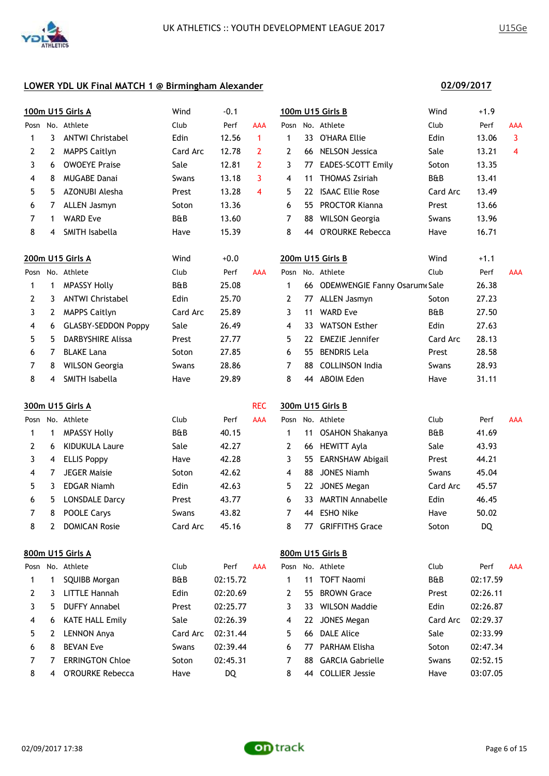

|              |              | 100m U15 Girls A           | Wind     | $-0.1$   |                         |                |    | 100m U15 Girls B                | Wind           | $+1.9$   |                |
|--------------|--------------|----------------------------|----------|----------|-------------------------|----------------|----|---------------------------------|----------------|----------|----------------|
|              |              | Posn No. Athlete           | Club     | Perf     | <b>AAA</b>              |                |    | Posn No. Athlete                | Club           | Perf     | AAA            |
| 1            | 3            | <b>ANTWI Christabel</b>    | Edin     | 12.56    | 1                       | 1              | 33 | O'HARA Ellie                    | Edin           | 13.06    | 3              |
| 2            | $\mathbf{2}$ | <b>MAPPS Caitlyn</b>       | Card Arc | 12.78    | $\overline{2}$          | $\mathbf{2}$   |    | 66 NELSON Jessica               | Sale           | 13.21    | $\overline{4}$ |
| 3            | 6            | <b>OWOEYE Praise</b>       | Sale     | 12.81    | 2                       | 3              |    | 77 EADES-SCOTT Emily            | Soton          | 13.35    |                |
| 4            | 8            | <b>MUGABE Danai</b>        | Swans    | 13.18    | 3                       | 4              | 11 | <b>THOMAS Zsiriah</b>           | B&B            | 13.41    |                |
| 5            | 5.           | AZONUBI Alesha             | Prest    | 13.28    | $\overline{\mathbf{4}}$ | 5              | 22 | <b>ISAAC Ellie Rose</b>         | Card Arc       | 13.49    |                |
| 6            | 7            | <b>ALLEN Jasmyn</b>        | Soton    | 13.36    |                         | 6              |    | 55 PROCTOR Kianna               | Prest          | 13.66    |                |
| 7            | 1            | <b>WARD Eve</b>            | B&B      | 13.60    |                         | 7              | 88 | <b>WILSON Georgia</b>           | Swans          | 13.96    |                |
| 8            | 4            | SMITH Isabella             | Have     | 15.39    |                         | 8              |    | 44 O'ROURKE Rebecca             | Have           | 16.71    |                |
|              |              | 200m U15 Girls A           | Wind     | $+0.0$   |                         |                |    | 200m U15 Girls B                | Wind           | $+1.1$   |                |
| Posn         |              | No. Athlete                | Club     | Perf     | AAA                     | Posn           |    | No. Athlete                     | Club           | Perf     | AAA            |
| $\mathbf{1}$ | $\mathbf 1$  | <b>MPASSY Holly</b>        | B&B      | 25.08    |                         | $\mathbf{1}$   |    | 66 ODEMWENGIE Fanny Osarum Sale |                | 26.38    |                |
| 2            | 3            | <b>ANTWI Christabel</b>    | Edin     | 25.70    |                         | $\mathbf{2}$   |    | 77 ALLEN Jasmyn                 | Soton          | 27.23    |                |
| 3            | $\mathbf{2}$ | <b>MAPPS Caitlyn</b>       | Card Arc | 25.89    |                         | 3              | 11 | <b>WARD Eve</b>                 | <b>B&amp;B</b> | 27.50    |                |
| 4            | 6            | <b>GLASBY-SEDDON Poppy</b> | Sale     | 26.49    |                         | 4              | 33 | <b>WATSON Esther</b>            | Edin           | 27.63    |                |
| 5            | 5.           | <b>DARBYSHIRE Alissa</b>   | Prest    | 27.77    |                         | 5              | 22 | <b>EMEZIE Jennifer</b>          | Card Arc       | 28.13    |                |
| 6            | 7            | <b>BLAKE Lana</b>          | Soton    | 27.85    |                         | 6              |    | 55 BENDRIS Lela                 | Prest          | 28.58    |                |
| 7            | 8            | <b>WILSON Georgia</b>      | Swans    | 28.86    |                         | $\overline{7}$ |    | 88 COLLINSON India              | Swans          | 28.93    |                |
| 8            | 4            | SMITH Isabella             | Have     | 29.89    |                         | 8              |    | 44 ABOIM Eden                   | Have           | 31.11    |                |
|              |              | 300m U15 Girls A           |          |          | <b>REC</b>              |                |    | 300m U15 Girls B                |                |          |                |
|              |              | Posn No. Athlete           | Club     | Perf     | <b>AAA</b>              |                |    | Posn No. Athlete                | Club           | Perf     | AAA            |
| 1            | 1            | <b>MPASSY Holly</b>        | B&B      | 40.15    |                         | $\mathbf 1$    |    | 11 OSAHON Shakanya              | B&B            | 41.69    |                |
| 2            | 6            | <b>KIDUKULA Laure</b>      | Sale     | 42.27    |                         | $\mathbf{2}$   |    | 66 HEWITT Ayla                  | Sale           | 43.93    |                |
| 3            | 4            | <b>ELLIS Poppy</b>         | Have     | 42.28    |                         | 3              | 55 | EARNSHAW Abigail                | Prest          | 44.21    |                |
| 4            | 7            | <b>JEGER Maisie</b>        | Soton    | 42.62    |                         | 4              | 88 | <b>JONES Niamh</b>              | Swans          | 45.04    |                |
| 5            | 3            | <b>EDGAR Niamh</b>         | Edin     | 42.63    |                         | 5              | 22 | <b>JONES Megan</b>              | Card Arc       | 45.57    |                |
| 6            | 5            | <b>LONSDALE Darcy</b>      | Prest    | 43.77    |                         | 6              | 33 | <b>MARTIN Annabelle</b>         | Edin           | 46.45    |                |
| 7            | 8            | POOLE Carys                | Swans    | 43.82    |                         | 7              |    | 44 ESHO Nike                    | Have           | 50.02    |                |
| 8            | 2            | <b>DOMICAN Rosie</b>       | Card Arc | 45.16    |                         | 8              |    | 77 GRIFFITHS Grace              | Soton          | DQ       |                |
|              |              | 800m U15 Girls A           |          |          |                         |                |    | 800m U15 Girls B                |                |          |                |
|              |              | Posn No. Athlete           | Club     | Perf     | AAA                     | Posn           |    | No. Athlete                     | Club           | Perf     | AAA            |
| 1            | 1            | SQUIBB Morgan              | B&B      | 02:15.72 |                         | 1              | 11 | <b>TOFT Naomi</b>               | B&B            | 02:17.59 |                |
| 2            | 3            | <b>LITTLE Hannah</b>       | Edin     | 02:20.69 |                         | 2              | 55 | <b>BROWN Grace</b>              | Prest          | 02:26.11 |                |
| 3            | 5            | <b>DUFFY Annabel</b>       | Prest    | 02:25.77 |                         | 3              | 33 | <b>WILSON Maddie</b>            | Edin           | 02:26.87 |                |
| 4            | 6            | <b>KATE HALL Emily</b>     | Sale     | 02:26.39 |                         | 4              | 22 | <b>JONES Megan</b>              | Card Arc       | 02:29.37 |                |
| 5            | 2            | <b>LENNON Anya</b>         | Card Arc | 02:31.44 |                         | 5              | 66 | <b>DALE Alice</b>               | Sale           | 02:33.99 |                |
| 6            | 8            | <b>BEVAN Eve</b>           | Swans    | 02:39.44 |                         | 6              | 77 | PARHAM Elisha                   | Soton          | 02:47.34 |                |
| 7            | 7            | <b>ERRINGTON Chloe</b>     | Soton    | 02:45.31 |                         | 7              | 88 | <b>GARCIA Gabrielle</b>         | Swans          | 02:52.15 |                |
| 8            | 4            | O'ROURKE Rebecca           | Have     | DQ       |                         | 8              |    | 44 COLLIER Jessie               | Have           | 03:07.05 |                |



# **02/09/2017**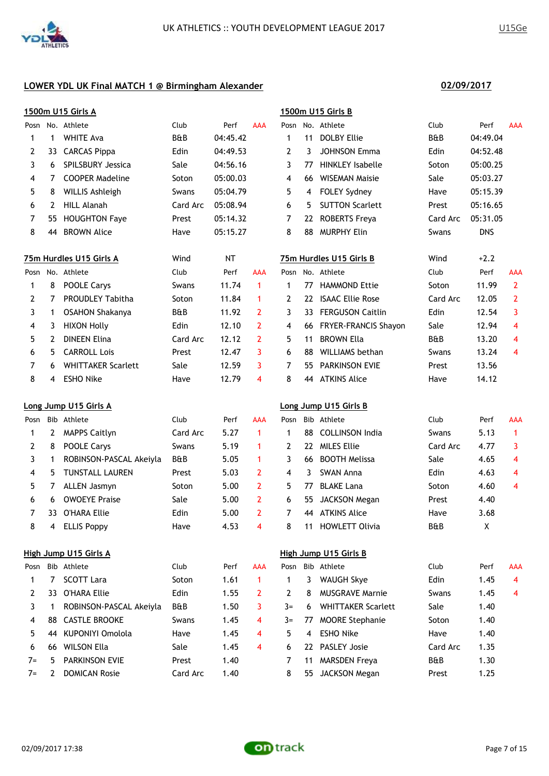

| Posn No. Athlete |              |                           |          |           |                     |                |     |                           |                |            |                |
|------------------|--------------|---------------------------|----------|-----------|---------------------|----------------|-----|---------------------------|----------------|------------|----------------|
|                  |              |                           | Club     | Perf      | AAA                 |                |     | Posn No. Athlete          | Club           | Perf       | AAA            |
| 1                | 1            | <b>WHITE Ava</b>          | B&B      | 04:45.42  |                     | 1              | 11  | <b>DOLBY Ellie</b>        | <b>B&amp;B</b> | 04:49.04   |                |
| 2                | 33           | <b>CARCAS Pippa</b>       | Edin     | 04:49.53  |                     | $\overline{2}$ | 3   | <b>JOHNSON Emma</b>       | Edin           | 04:52.48   |                |
| 3                | 6            | <b>SPILSBURY Jessica</b>  | Sale     | 04:56.16  |                     | 3              | 77  | <b>HINKLEY Isabelle</b>   | Soton          | 05:00.25   |                |
| 4                | 7            | <b>COOPER Madeline</b>    | Soton    | 05:00.03  |                     | 4              | 66  | <b>WISEMAN Maisie</b>     | Sale           | 05:03.27   |                |
| 5                | 8            | <b>WILLIS Ashleigh</b>    | Swans    | 05:04.79  |                     | 5              | 4   | FOLEY Sydney              | Have           | 05:15.39   |                |
| 6                | 2            | <b>HILL Alanah</b>        | Card Arc | 05:08.94  |                     | 6              | 5   | <b>SUTTON Scarlett</b>    | Prest          | 05:16.65   |                |
| 7                | 55           | <b>HOUGHTON Faye</b>      | Prest    | 05:14.32  |                     | 7              |     | 22 ROBERTS Freya          | Card Arc       | 05:31.05   |                |
| 8                | 44           | <b>BROWN Alice</b>        | Have     | 05:15.27  |                     | 8              | 88  | <b>MURPHY Elin</b>        | Swans          | <b>DNS</b> |                |
|                  |              | 75m Hurdles U15 Girls A   | Wind     | <b>NT</b> |                     |                |     | 75m Hurdles U15 Girls B   | Wind           | $+2.2$     |                |
| Posn             |              | No. Athlete               | Club     | Perf      | AAA                 | Posn           |     | No. Athlete               | Club           | Perf       | AAA            |
| 1                | 8            | <b>POOLE Carys</b>        | Swans    | 11.74     | $\mathbf{1}$        | 1              | 77  | <b>HAMMOND Ettie</b>      | Soton          | 11.99      | $\mathbf{2}$   |
| $\overline{2}$   | 7            | PROUDLEY Tabitha          | Soton    | 11.84     | $\mathbf{1}$        | 2              | 22. | <b>ISAAC Ellie Rose</b>   | Card Arc       | 12.05      | $\overline{2}$ |
| 3                | $\mathbf{1}$ | <b>OSAHON Shakanya</b>    | B&B      | 11.92     | $\overline{2}$      | 3              |     | 33 FERGUSON Caitlin       | Edin           | 12.54      | 3              |
| 4                | 3            | <b>HIXON Holly</b>        | Edin     | 12.10     | $\overline{2}$      | 4              |     | 66 FRYER-FRANCIS Shayon   | Sale           | 12.94      | 4              |
| 5                | $\mathbf{2}$ | <b>DINEEN Elina</b>       | Card Arc | 12.12     | $\overline{2}$      | 5              | 11  | <b>BROWN Ella</b>         | <b>B&amp;B</b> | 13.20      | 4              |
| 6                | 5            | <b>CARROLL Lois</b>       | Prest    | 12.47     | 3                   | 6              | 88  | <b>WILLIAMS</b> bethan    | Swans          | 13.24      | 4              |
| 7                | 6            | <b>WHITTAKER Scarlett</b> | Sale     | 12.59     | 3                   | 7              | 55  | <b>PARKINSON EVIE</b>     | Prest          | 13.56      |                |
| 8                | 4            | <b>ESHO Nike</b>          | Have     | 12.79     | $\overline{\bf{4}}$ | 8              |     | 44 ATKINS Alice           | Have           | 14.12      |                |
|                  |              | Long Jump U15 Girls A     |          |           |                     |                |     | Long Jump U15 Girls B     |                |            |                |
| Posn             |              | Bib Athlete               | Club     | Perf      | AAA                 | Posn           |     | Bib Athlete               | Club           | Perf       | AAA            |
| 1                | 2            | <b>MAPPS Caitlyn</b>      | Card Arc | 5.27      | 1                   | $\mathbf{1}$   | 88  | <b>COLLINSON India</b>    | Swans          | 5.13       | $\mathbf{1}$   |
| 2                | 8            | POOLE Carys               | Swans    | 5.19      | 1                   | 2              | 22  | <b>MILES Ellie</b>        | Card Arc       | 4.77       | 3              |
| 3                | 1            | ROBINSON-PASCAL Akeiyla   | B&B      | 5.05      | 1                   | 3              | 66  | <b>BOOTH Melissa</b>      | Sale           | 4.65       | 4              |
| 4                | 5            | <b>TUNSTALL LAUREN</b>    | Prest    | 5.03      | $\overline{2}$      | 4              | 3   | <b>SWAN Anna</b>          | Edin           | 4.63       | 4              |
| 5                | 7            | <b>ALLEN Jasmyn</b>       | Soton    | 5.00      | $\overline{2}$      | 5              | 77  | <b>BLAKE Lana</b>         | Soton          | 4.60       | 4              |
| 6                | 6            | <b>OWOEYE Praise</b>      | Sale     | 5.00      | $\overline{2}$      | 6              | 55  | <b>JACKSON Megan</b>      | Prest          | 4.40       |                |
| 7                | 33.          | O'HARA Ellie              | Edin     | 5.00      | 2                   | 7              |     | 44 ATKINS Alice           | Have           | 3.68       |                |
| 8                | 4            | <b>ELLIS Poppy</b>        | Have     | 4.53      | 4                   | 8              |     | 11 HOWLETT Olivia         | B&B            | Χ          |                |
|                  |              | High Jump U15 Girls A     |          |           |                     |                |     | High Jump U15 Girls B     |                |            |                |
| Posn             |              | Bib Athlete               | Club     | Perf      | AAA                 | Posn           |     | Bib Athlete               | Club           | Perf       | AAA            |
| 1                | 7            | <b>SCOTT Lara</b>         | Soton    | 1.61      | $\mathbf{1}$        | 1              | 3   | <b>WAUGH Skye</b>         | Edin           | 1.45       | 4              |
| 2                | 33           | <b>O'HARA Ellie</b>       | Edin     | 1.55      | 2                   | 2              | 8   | <b>MUSGRAVE Marnie</b>    | Swans          | 1.45       | 4              |
| 3                | $\mathbf 1$  | ROBINSON-PASCAL Akeiyla   | B&B      | 1.50      | 3                   | $3=$           | 6   | <b>WHITTAKER Scarlett</b> | Sale           | 1.40       |                |
| 4                | 88           | <b>CASTLE BROOKE</b>      | Swans    | 1.45      | 4                   | $3=$           | 77  | <b>MOORE Stephanie</b>    | Soton          | 1.40       |                |
| 5                | 44           | KUPONIYI Omolola          | Have     | 1.45      | 4                   | 5              | 4   | <b>ESHO Nike</b>          | Have           | 1.40       |                |
| 6                | 66           | <b>WILSON Ella</b>        | Sale     | 1.45      | 4                   | 6              | 22  | PASLEY Josie              | Card Arc       | 1.35       |                |
| $7 =$            | 5            | PARKINSON EVIE            | Prest    | 1.40      |                     | 7              | 11  | <b>MARSDEN Freya</b>      | B&B            | 1.30       |                |
| $7=$             | 2            | <b>DOMICAN Rosie</b>      | Card Arc | 1.40      |                     | 8              | 55  | <b>JACKSON Megan</b>      | Prest          | 1.25       |                |

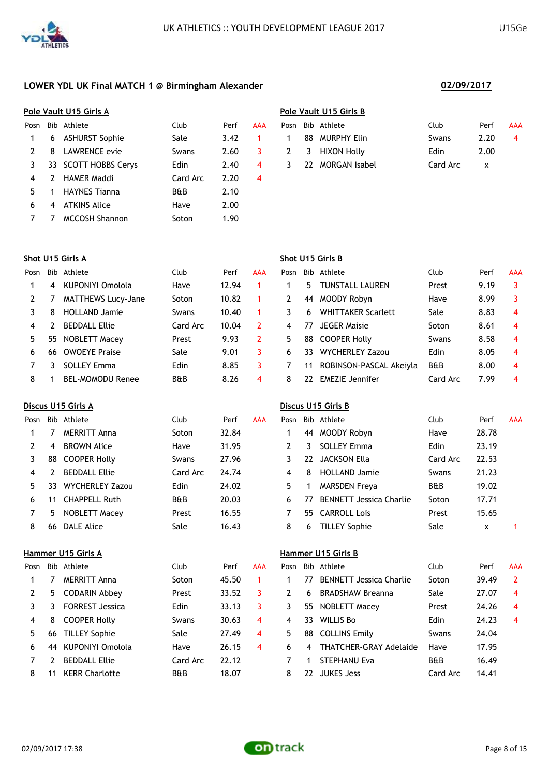|      |    | Pole Vault U15 Girls A |                |      |     | Pole Vault U15 Girls B |    |                      |             |      |     |
|------|----|------------------------|----------------|------|-----|------------------------|----|----------------------|-------------|------|-----|
| Posn |    | Bib Athlete            | Club           | Perf | AAA | Posn                   |    | Bib Athlete          | Club        | Perf | AAA |
|      | 6  | <b>ASHURST Sophie</b>  | Sale           | 3.42 |     |                        | 88 | <b>MURPHY Elin</b>   | Swans       | 2.20 | 4   |
|      | 8  | LAWRENCE evie          | Swans          | 2.60 |     | 2                      | 3  | <b>HIXON Holly</b>   | <b>Edin</b> | 2.00 |     |
|      | 33 | SCOTT HOBBS Cervs      | <b>Edin</b>    | 2.40 | 4   | 3                      | 22 | <b>MORGAN Isabel</b> | Card Arc    | x    |     |
| 4    |    | <b>HAMER Maddi</b>     | Card Arc       | 2.20 | 4   |                        |    |                      |             |      |     |
| 5.   |    | <b>HAYNES Tianna</b>   | <b>B&amp;B</b> | 2.10 |     |                        |    |                      |             |      |     |
| 6    | 4  | <b>ATKINS Alice</b>    | Have           | 2.00 |     |                        |    |                      |             |      |     |
|      |    | <b>MCCOSH Shannon</b>  | Soton          | 1.90 |     |                        |    |                      |             |      |     |

|               | ם כותר כוס השמונים של ה |          |      |            |
|---------------|-------------------------|----------|------|------------|
|               | Posn Bib Athlete        | Club     | Perf | <b>AAA</b> |
| $\mathbf{1}$  | 88 MURPHY Elin          | Swans    | 2.20 | 4          |
|               | 2 3 HIXON Holly         | Edin.    | 2.00 |            |
| $\mathcal{R}$ | 22 MORGAN Isabel        | Card Arc | x    |            |
|               |                         |          |      |            |

|      |     | Shot U15 Girls A          |                |       |     | Shot U15 Girls B |    |                           |                |      |     |
|------|-----|---------------------------|----------------|-------|-----|------------------|----|---------------------------|----------------|------|-----|
| Posn |     | Bib Athlete               | Club           | Perf  | AAA | Posn             |    | Bib Athlete               | Club           | Perf | AAA |
|      | 4   | KUPONIYI Omolola          | Have           | 12.94 |     |                  | 5. | <b>TUNSTALL LAUREN</b>    | Prest          | 9.19 | 3   |
|      |     | <b>MATTHEWS Lucy-Jane</b> | Soton          | 10.82 |     |                  | 44 | MOODY Robyn               | Have           | 8.99 | 3   |
|      | 8   | <b>HOLLAND Jamie</b>      | Swans          | 10.40 |     |                  | 6  | <b>WHITTAKER Scarlett</b> | Sale           | 8.83 | -4  |
| 4    |     | <b>BEDDALL Ellie</b>      | Card Arc       | 10.04 | 2   | 4                | 77 | <b>JEGER Maisie</b>       | Soton          | 8.61 | 4   |
| 5.   | 55. | NOBLETT Macey             | Prest          | 9.93  | 2   | 5.               | 88 | COOPER Holly              | Swans          | 8.58 | -4  |
| 6    | 66  | <b>OWOEYE Praise</b>      | Sale           | 9.01  | 3   | 6                | 33 | <b>WYCHERLEY Zazou</b>    | Edin           | 8.05 | -4  |
|      |     | <b>SOLLEY Emma</b>        | <b>Edin</b>    | 8.85  |     |                  | 11 | ROBINSON-PASCAL Akeiyla   | <b>B&amp;B</b> | 8.00 | 4   |
| 8    |     | <b>BEL-MOMODU Renee</b>   | <b>B&amp;B</b> | 8.26  | 4   | 8                | 22 | <b>EMEZIE</b> Jennifer    | Card Arc       | 7.99 | 4   |

### **Discus U15 Girls A Discus U15 Girls B**

| Posn |    | Bib Athlete            | Club           | Perf  | <b>AAA</b> | Posn |     | Bib Athlete                    | Club           | Perf  | <b>AAA</b> |
|------|----|------------------------|----------------|-------|------------|------|-----|--------------------------------|----------------|-------|------------|
|      |    | MERRITT Anna           | Soton          | 32.84 |            |      | 44  | MOODY Robyn                    | Have           | 28.78 |            |
|      | 4  | <b>BROWN Alice</b>     | Have           | 31.95 |            |      | 3   | <b>SOLLEY Emma</b>             | Edin           | 23.19 |            |
|      | 88 | <b>COOPER Holly</b>    | Swans          | 27.96 |            |      | 22. | JACKSON Ella                   | Card Arc       | 22.53 |            |
| 4    |    | <b>BEDDALL Ellie</b>   | Card Arc       | 24.74 |            | 4    | 8   | <b>HOLLAND Jamie</b>           | Swans          | 21.23 |            |
|      | 33 | <b>WYCHERLEY Zazou</b> | Edin           | 24.02 |            | 5.   |     | <b>MARSDEN Freya</b>           | <b>B&amp;B</b> | 19.02 |            |
| 6    | 11 | <b>CHAPPELL Ruth</b>   | <b>B&amp;B</b> | 20.03 |            | 6.   | 77  | <b>BENNETT Jessica Charlie</b> | Soton          | 17.71 |            |
|      | 5. | NOBLETT Macey          | Prest          | 16.55 |            |      |     | 55 CARROLL Lois                | Prest          | 15.65 |            |
| 8    | 66 | DALE Alice             | Sale           | 16.43 |            | 8    | 6   | <b>TILLEY Sophie</b>           | Sale           | x     |            |

### **Hammer U15 Girls A Hammer U15 Girls B**

| Posn |    | Bib Athlete            | Club           | Perf  | AAA | Posn |     | Bib Athlete                    | Club           | Perf  | <b>AAA</b> |
|------|----|------------------------|----------------|-------|-----|------|-----|--------------------------------|----------------|-------|------------|
|      |    | <b>MERRITT Anna</b>    | Soton          | 45.50 |     |      | 77  | <b>BENNETT Jessica Charlie</b> | Soton          | 39.49 |            |
|      | 5. | <b>CODARIN Abbey</b>   | Prest          | 33.52 |     |      | 6   | <b>BRADSHAW Breanna</b>        | Sale           | 27.07 | 4          |
|      |    | <b>FORREST Jessica</b> | Edin           | 33.13 |     |      | 55. | NOBLETT Macey                  | Prest          | 24.26 | 4          |
| 4    | 8  | <b>COOPER Holly</b>    | Swans          | 30.63 | 4   | 4    | 33  | <b>WILLIS Bo</b>               | Edin           | 24.23 | 4          |
| 5.   | 66 | <b>TILLEY Sophie</b>   | Sale           | 27.49 | 4   | 5    | 88  | <b>COLLINS Emily</b>           | Swans          | 24.04 |            |
| 6    | 44 | KUPONIYI Omolola       | Have           | 26.15 | 4   | 6    | 4   | <b>THATCHER-GRAY Adelaide</b>  | Have           | 17.95 |            |
|      |    | <b>BEDDALL Ellie</b>   | Card Arc       | 22.12 |     |      |     | STEPHANU Eva                   | <b>B&amp;B</b> | 16.49 |            |
| 8    | 11 | <b>KERR Charlotte</b>  | <b>B&amp;B</b> | 18.07 |     | 8    | 22  | JUKES Jess                     | Card Arc       | 14.41 |            |

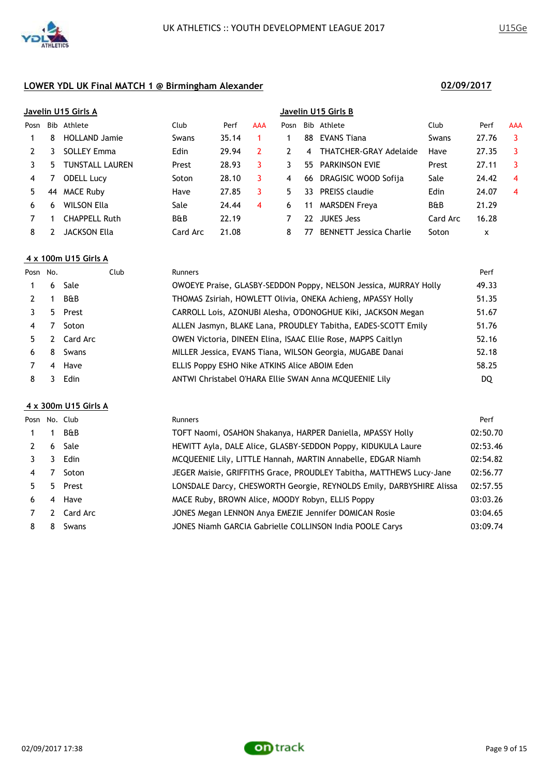

|      |    | Javelin U15 Girls A    |                |       |     | Javelin U15 Girls B |     |                                |                |       |            |  |
|------|----|------------------------|----------------|-------|-----|---------------------|-----|--------------------------------|----------------|-------|------------|--|
| Posn |    | Bib Athlete            | Club           | Perf  | AAA | Posn                |     | Bib Athlete                    | Club           | Perf  | <b>AAA</b> |  |
|      | 8  | <b>HOLLAND Jamie</b>   | Swans          | 35.14 |     |                     | 88  | EVANS Tiana                    | Swans          | 27.76 | 3          |  |
|      | 3  | <b>SOLLEY Emma</b>     | <b>Edin</b>    | 29.94 | 2   | 2                   | 4   | <b>THATCHER-GRAY Adelaide</b>  | Have           | 27.35 | -3         |  |
|      | 5. | <b>TUNSTALL LAUREN</b> | Prest          | 28.93 | 3   | 3                   | 55. | <b>PARKINSON EVIE</b>          | Prest          | 27.11 | 3          |  |
| 4    |    | <b>ODELL Lucy</b>      | Soton          | 28.10 | 3   | 4                   | -66 | DRAGISIC WOOD Sofija           | Sale           | 24.42 | 4          |  |
| 5.   | 44 | <b>MACE Ruby</b>       | Have           | 27.85 | 3   | 5.                  | 33  | <b>PREISS claudie</b>          | Edin           | 24.07 | 4          |  |
| 6    | 6  | <b>WILSON Ella</b>     | Sale           | 24.44 | 4   | 6                   | 11  | <b>MARSDEN Freya</b>           | <b>B&amp;B</b> | 21.29 |            |  |
|      |    | <b>CHAPPELL Ruth</b>   | <b>B&amp;B</b> | 22.19 |     |                     | 22  | <b>JUKES Jess</b>              | Card Arc       | 16.28 |            |  |
| 8    |    | JACKSON Ella           | Card Arc       | 21.08 |     | 8                   | 77  | <b>BENNETT</b> Jessica Charlie | Soton          | x     |            |  |
|      |    |                        |                |       |     |                     |     |                                |                |       |            |  |

# **4 x 100m U15 Girls A**

| Posn No. |    | Club           | <b>Runners</b>                                                   | Perf  |
|----------|----|----------------|------------------------------------------------------------------|-------|
| 1        | 6  | Sale           | OWOEYE Praise, GLASBY-SEDDON Poppy, NELSON Jessica, MURRAY Holly | 49.33 |
|          | 1  | <b>B&amp;B</b> | THOMAS Zsiriah, HOWLETT Olivia, ONEKA Achieng, MPASSY Holly      | 51.35 |
|          |    | 5 Prest        | CARROLL Lois, AZONUBI Alesha, O'DONOGHUE Kiki, JACKSON Megan     | 51.67 |
| 4        | 7  | Soton          | ALLEN Jasmyn, BLAKE Lana, PROUDLEY Tabitha, EADES-SCOTT Emily    | 51.76 |
| 5.       |    | 2 Card Arc     | OWEN Victoria, DINEEN Elina, ISAAC Ellie Rose, MAPPS Caitlyn     | 52.16 |
| 6.       | 8  | Swans          | MILLER Jessica, EVANS Tiana, WILSON Georgia, MUGABE Danai        | 52.18 |
|          |    | 4 Have         | ELLIS Poppy ESHO Nike ATKINS Alice ABOIM Eden                    | 58.25 |
| 8        | 3. | Edin           | ANTWI Christabel O'HARA Ellie SWAN Anna MCQUEENIE Lily           | DQ    |
|          |    |                |                                                                  |       |

### **4 x 300m U15 Girls A**

|                |   | Posn No. Club  | <b>Runners</b>                                                       | Perf     |
|----------------|---|----------------|----------------------------------------------------------------------|----------|
| $\mathbf{1}$   |   | <b>B&amp;B</b> | TOFT Naomi, OSAHON Shakanya, HARPER Daniella, MPASSY Holly           | 02:50.70 |
| 2              |   | 6 Sale         | HEWITT Ayla, DALE Alice, GLASBY-SEDDON Poppy, KIDUKULA Laure         | 02:53.46 |
|                | 3 | Edin           | MCQUEENIE Lily, LITTLE Hannah, MARTIN Annabelle, EDGAR Niamh         | 02:54.82 |
| $\overline{4}$ |   | Soton          | JEGER Maisie, GRIFFITHS Grace, PROUDLEY Tabitha, MATTHEWS Lucy-Jane  | 02:56.77 |
| 5.             |   | 5 Prest        | LONSDALE Darcy, CHESWORTH Georgie, REYNOLDS Emily, DARBYSHIRE Alissa | 02:57.55 |
| 6              |   | 4 Have         | MACE Ruby, BROWN Alice, MOODY Robyn, ELLIS Poppy                     | 03:03.26 |
|                |   | 2 Card Arc     | JONES Megan LENNON Anya EMEZIE Jennifer DOMICAN Rosie                | 03:04.65 |
| 8              | 8 | Swans          | JONES Niamh GARCIA Gabrielle COLLINSON India POOLE Carys             | 03:09.74 |



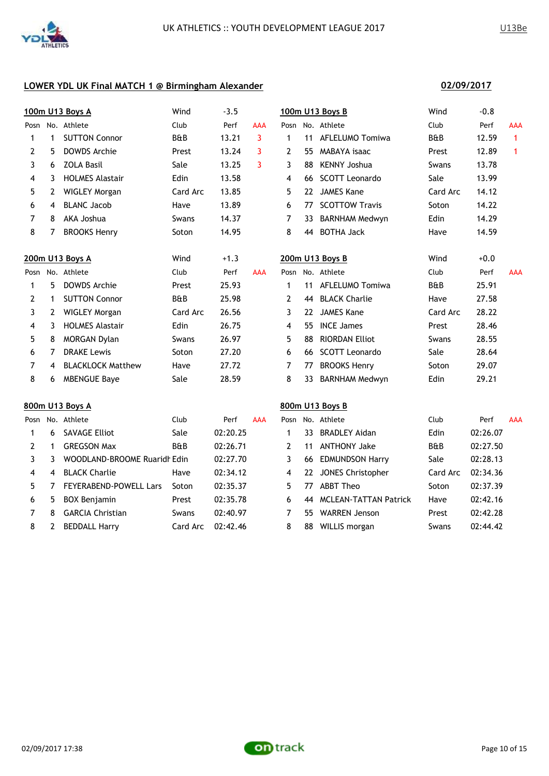

|                |                       | 100m U13 Boys A              | Wind           | $-3.5$   |            |                |    | 100m U13 Boys B              | Wind           | $-0.8$   |              |
|----------------|-----------------------|------------------------------|----------------|----------|------------|----------------|----|------------------------------|----------------|----------|--------------|
|                |                       | Posn No. Athlete             | Club           | Perf     | <b>AAA</b> |                |    | Posn No. Athlete             | Club           | Perf     | AAA          |
| 1              | $\mathbf 1$           | <b>SUTTON Connor</b>         | B&B            | 13.21    | 3          | $\mathbf{1}$   |    | 11 AFLELUMO Tomiwa           | B&B            | 12.59    | $\mathbf{1}$ |
| 2              | 5                     | <b>DOWDS Archie</b>          | Prest          | 13.24    | 3          | 2              | 55 | MABAYA isaac                 | Prest          | 12.89    | $\mathbf{1}$ |
| 3              | 6                     | <b>ZOLA Basil</b>            | Sale           | 13.25    | 3          | 3              | 88 | <b>KENNY Joshua</b>          | Swans          | 13.78    |              |
| 4              | 3                     | <b>HOLMES Alastair</b>       | Edin           | 13.58    |            | 4              | 66 | <b>SCOTT Leonardo</b>        | Sale           | 13.99    |              |
| 5              | $\mathbf{2}$          | <b>WIGLEY Morgan</b>         | Card Arc       | 13.85    |            | 5              |    | 22 JAMES Kane                | Card Arc       | 14.12    |              |
| 6              | 4                     | <b>BLANC Jacob</b>           | Have           | 13.89    |            | 6              | 77 | <b>SCOTTOW Travis</b>        | Soton          | 14.22    |              |
| 7              | 8                     | AKA Joshua                   | Swans          | 14.37    |            | 7              |    | 33 BARNHAM Medwyn            | Edin           | 14.29    |              |
| 8              | 7                     | <b>BROOKS Henry</b>          | Soton          | 14.95    |            | 8              | 44 | <b>BOTHA Jack</b>            | Have           | 14.59    |              |
|                |                       | 200m U13 Boys A              | Wind           | $+1.3$   |            |                |    | 200m U13 Boys B              | Wind           | $+0.0$   |              |
|                |                       | Posn No. Athlete             | Club           | Perf     | <b>AAA</b> |                |    | Posn No. Athlete             | Club           | Perf     | <b>AAA</b>   |
| 1              | 5                     | <b>DOWDS Archie</b>          | Prest          | 25.93    |            | $\mathbf 1$    |    | 11 AFLELUMO Tomiwa           | <b>B&amp;B</b> | 25.91    |              |
| 2              | $\mathbf 1$           | <b>SUTTON Connor</b>         | <b>B&amp;B</b> | 25.98    |            | $\overline{2}$ |    | 44 BLACK Charlie             | Have           | 27.58    |              |
| 3              | $\mathbf{2}$          | <b>WIGLEY Morgan</b>         | Card Arc       | 26.56    |            | 3              |    | 22 JAMES Kane                | Card Arc       | 28.22    |              |
| 4              | 3                     | <b>HOLMES Alastair</b>       | Edin           | 26.75    |            | 4              | 55 | <b>INCE James</b>            | Prest          | 28.46    |              |
| 5              | 8                     | MORGAN Dylan                 | Swans          | 26.97    |            | 5              | 88 | <b>RIORDAN Elliot</b>        | Swans          | 28.55    |              |
| 6              | 7                     | <b>DRAKE Lewis</b>           | Soton          | 27.20    |            | 6              |    | 66 SCOTT Leonardo            | Sale           | 28.64    |              |
| $\overline{7}$ | 4                     | <b>BLACKLOCK Matthew</b>     | Have           | 27.72    |            | $\overline{7}$ | 77 | <b>BROOKS Henry</b>          | Soton          | 29.07    |              |
| 8              | 6                     | <b>MBENGUE Baye</b>          | Sale           | 28.59    |            | 8              | 33 | <b>BARNHAM Medwyn</b>        | Edin           | 29.21    |              |
|                |                       | 800m U13 Boys A              |                |          |            |                |    | 800m U13 Boys B              |                |          |              |
|                |                       | Posn No. Athlete             | Club           | Perf     | <b>AAA</b> |                |    | Posn No. Athlete             | Club           | Perf     | <b>AAA</b>   |
| 1              | 6                     | <b>SAVAGE Elliot</b>         | Sale           | 02:20.25 |            | $\mathbf 1$    |    | 33 BRADLEY Aidan             | Edin           | 02:26.07 |              |
| 2              | $\mathbf 1$           | <b>GREGSON Max</b>           | B&B            | 02:26.71 |            | $\overline{2}$ | 11 | <b>ANTHONY Jake</b>          | <b>B&amp;B</b> | 02:27.50 |              |
| 3              | 3                     | WOODLAND-BROOME Ruaridh Edin |                | 02:27.70 |            | 3              |    | 66 EDMUNDSON Harry           | Sale           | 02:28.13 |              |
| 4              | 4                     | <b>BLACK Charlie</b>         | Have           | 02:34.12 |            | $\overline{4}$ |    | 22 JONES Christopher         | Card Arc       | 02:34.36 |              |
| 5              | 7                     | FEYERABEND-POWELL Lars       | Soton          | 02:35.37 |            | 5              | 77 | <b>ABBT Theo</b>             | Soton          | 02:37.39 |              |
| 6              | 5                     | <b>BOX Benjamin</b>          | Prest          | 02:35.78 |            | 6              | 44 | <b>MCLEAN-TATTAN Patrick</b> | Have           | 02:42.16 |              |
| 7              | 8                     | <b>GARCIA Christian</b>      | Swans          | 02:40.97 |            | 7              |    | 55 WARREN Jenson             | Prest          | 02:42.28 |              |
| 8              | $\mathbf{2}^{\prime}$ | <b>BEDDALL Harry</b>         | Card Arc       | 02:42.46 |            | 8              | 88 | WILLIS morgan                | Swans          | 02:44.42 |              |

**02/09/2017**

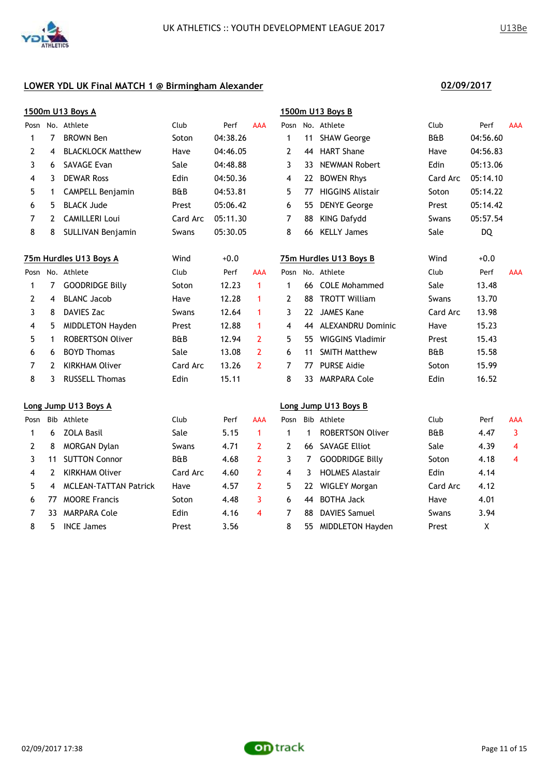|      |             | 1500m U13 Boys A             |                |          |                |                |    | 1500m U13 Boys B        |          |           |                |
|------|-------------|------------------------------|----------------|----------|----------------|----------------|----|-------------------------|----------|-----------|----------------|
|      |             | Posn No. Athlete             | Club           | Perf     | <b>AAA</b>     |                |    | Posn No. Athlete        | Club     | Perf      | <b>AAA</b>     |
| 1    | 7           | <b>BROWN Ben</b>             | Soton          | 04:38.26 |                | $\mathbf 1$    | 11 | <b>SHAW George</b>      | B&B      | 04:56.60  |                |
| 2    | 4           | <b>BLACKLOCK Matthew</b>     | Have           | 04:46.05 |                | $\overline{2}$ | 44 | <b>HART Shane</b>       | Have     | 04:56.83  |                |
| 3    | 6           | <b>SAVAGE Evan</b>           | Sale           | 04:48.88 |                | 3              | 33 | <b>NEWMAN Robert</b>    | Edin     | 05:13.06  |                |
| 4    | 3           | <b>DEWAR Ross</b>            | Edin           | 04:50.36 |                | 4              | 22 | <b>BOWEN Rhys</b>       | Card Arc | 05:14.10  |                |
| 5    | $\mathbf 1$ | CAMPELL Benjamin             | B&B            | 04:53.81 |                | 5              | 77 | <b>HIGGINS Alistair</b> | Soton    | 05:14.22  |                |
| 6    | 5           | <b>BLACK Jude</b>            | Prest          | 05:06.42 |                | 6              | 55 | <b>DENYE George</b>     | Prest    | 05:14.42  |                |
| 7    | 2           | <b>CAMILLERI Loui</b>        | Card Arc       | 05:11.30 |                | 7              | 88 | <b>KING Dafydd</b>      | Swans    | 05:57.54  |                |
| 8    | 8           | SULLIVAN Benjamin            | Swans          | 05:30.05 |                | 8              | 66 | <b>KELLY James</b>      | Sale     | <b>DQ</b> |                |
|      |             | 75m Hurdles U13 Boys A       | Wind           | $+0.0$   |                |                |    | 75m Hurdles U13 Boys B  | Wind     | $+0.0$    |                |
|      |             | Posn No. Athlete             | Club           | Perf     | <b>AAA</b>     |                |    | Posn No. Athlete        | Club     | Perf      | <b>AAA</b>     |
| 1    | $7^{\circ}$ | <b>GOODRIDGE Billy</b>       | Soton          | 12.23    | $\mathbf{1}$   | $\mathbf{1}$   |    | 66 COLE Mohammed        | Sale     | 13.48     |                |
| 2    | 4           | <b>BLANC Jacob</b>           | Have           | 12.28    | $\mathbf{1}$   | $\overline{2}$ | 88 | <b>TROTT William</b>    | Swans    | 13.70     |                |
| 3    | 8           | <b>DAVIES Zac</b>            | Swans          | 12.64    | $\mathbf{1}$   | 3              | 22 | <b>JAMES Kane</b>       | Card Arc | 13.98     |                |
| 4    | 5           | <b>MIDDLETON Hayden</b>      | Prest          | 12.88    | $\mathbf 1$    | 4              |    | 44 ALEXANDRU Dominic    | Have     | 15.23     |                |
| 5    | $\mathbf 1$ | <b>ROBERTSON Oliver</b>      | <b>B&amp;B</b> | 12.94    | $\overline{2}$ | 5              | 55 | <b>WIGGINS Vladimir</b> | Prest    | 15.43     |                |
| 6    | 6           | <b>BOYD Thomas</b>           | Sale           | 13.08    | $\overline{2}$ | 6              | 11 | <b>SMITH Matthew</b>    | B&B      | 15.58     |                |
| 7    | 2           | <b>KIRKHAM Oliver</b>        | Card Arc       | 13.26    | $\overline{2}$ | $\overline{7}$ | 77 | <b>PURSE Aidie</b>      | Soton    | 15.99     |                |
| 8    | 3           | <b>RUSSELL Thomas</b>        | Edin           | 15.11    |                | 8              | 33 | <b>MARPARA Cole</b>     | Edin     | 16.52     |                |
|      |             | Long Jump U13 Boys A         |                |          |                |                |    | Long Jump U13 Boys B    |          |           |                |
| Posn |             | Bib Athlete                  | Club           | Perf     | AAA            | Posn           |    | Bib Athlete             | Club     | Perf      | AAA            |
| 1    | 6           | <b>ZOLA Basil</b>            | Sale           | 5.15     | $\mathbf{1}$   | $\mathbf{1}$   | 1  | <b>ROBERTSON Oliver</b> | B&B      | 4.47      | 3              |
| 2    | 8           | <b>MORGAN Dylan</b>          | Swans          | 4.71     | $\overline{2}$ | $\overline{2}$ | 66 | <b>SAVAGE Elliot</b>    | Sale     | 4.39      | $\overline{4}$ |
| 3    | 11          | <b>SUTTON Connor</b>         | B&B            | 4.68     | $\overline{2}$ | 3              | 7  | <b>GOODRIDGE Billy</b>  | Soton    | 4.18      | 4              |
| 4    | 2           | <b>KIRKHAM Oliver</b>        | Card Arc       | 4.60     | $\overline{2}$ | 4              | 3  | <b>HOLMES Alastair</b>  | Edin     | 4.14      |                |
| 5    | 4           | <b>MCLEAN-TATTAN Patrick</b> | Have           | 4.57     | $\overline{2}$ | 5              | 22 | <b>WIGLEY Morgan</b>    | Card Arc | 4.12      |                |
| 6    | 77          | <b>MOORE Francis</b>         | Soton          | 4.48     | 3              | 6              | 44 | <b>BOTHA Jack</b>       | Have     | 4.01      |                |
| 7    | 33.         | <b>MARPARA Cole</b>          | Edin           | 4.16     | 4              | 7              | 88 | <b>DAVIES Samuel</b>    | Swans    | 3.94      |                |
| 8    | 5           | <b>INCE James</b>            | Prest          | 3.56     |                | 8              |    | 55 MIDDLETON Hayden     | Prest    | X         |                |

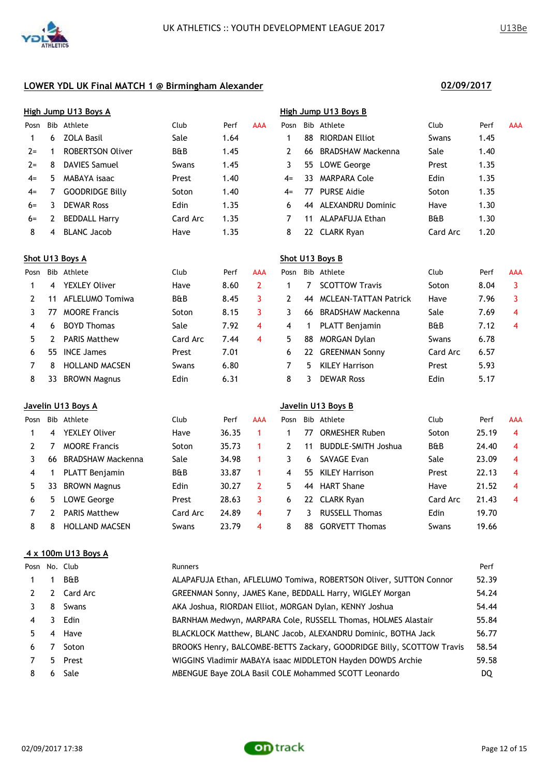**High Jump U13 Boys A High Jump U13 Boys B**



# **LOWER YDL UK Final MATCH 1 @ Birmingham Alexander 02/09/2017**

|       |    | High Jump U13 Boys A    |                |      |            | High Jump U13 Boys B |     |                          |                |      |            |
|-------|----|-------------------------|----------------|------|------------|----------------------|-----|--------------------------|----------------|------|------------|
| Posn  |    | Bib Athlete             | Club           | Perf | <b>AAA</b> | Posn                 |     | Bib Athlete              | Club           | Perf | <b>AAA</b> |
|       | 6  | ZOLA Basil              | Sale           | 1.64 |            |                      | 88  | <b>RIORDAN Elliot</b>    | Swans          | 1.45 |            |
| $2 =$ |    | <b>ROBERTSON Oliver</b> | <b>B&amp;B</b> | 1.45 |            |                      | 66. | <b>BRADSHAW Mackenna</b> | Sale           | 1.40 |            |
| $2 =$ | 8  | <b>DAVIES Samuel</b>    | Swans          | 1.45 |            | 3                    |     | 55 LOWE George           | Prest          | 1.35 |            |
| $4=$  | 5. | MABAYA isaac            | Prest          | 1.40 |            | $4=$                 | 33  | MARPARA Cole             | Edin           | 1.35 |            |
| $4=$  |    | <b>GOODRIDGE Billy</b>  | Soton          | 1.40 |            | $4=$                 | 77  | <b>PURSE Aidie</b>       | Soton          | 1.35 |            |
| $6=$  | 3  | <b>DEWAR Ross</b>       | Edin           | 1.35 |            | 6                    |     | 44 ALEXANDRU Dominic     | Have           | 1.30 |            |
| $6 =$ |    | <b>BEDDALL Harry</b>    | Card Arc       | 1.35 |            |                      | 11  | ALAPAFUJA Ethan          | <b>B&amp;B</b> | 1.30 |            |
| 8     | 4  | <b>BLANC Jacob</b>      | Have           | 1.35 |            | 8                    |     | 22 CLARK Ryan            | Card Arc       | 1.20 |            |

# **Shot U13 Boys A Shot U13 Boys B** Posn Bib Athlete Club Perf AAA Posn Bib Athlete Club Perf AAA 1 4 YEXLEY Oliver Have 8.60 2 1 7 SCOTTOW Travis Soton 8.04 3 2 11 AFLELUMO Tomiwa B&B 8.45 3 2 44 MCLEAN-TATTAN Patrick Have 7.96 3 3 77 MOORE Francis 50ton 8.15 3 3 66 BRADSHAW Mackenna Sale 7.69 4 4 6 BOYD Thomas Sale 7.92 4 4 1 PLATT Benjamin B&B 7.12 4 5 2 PARIS Matthew Card Arc 7.44 4 5 88 MORGAN Dylan Swans 6.78 6 55 INCE James Prest 7.01 6 22 GREENMAN Sonny Card Arc 6.57 7 8 HOLLAND MACSEN Swans 6.80 7 5 KILEY Harrison Prest 5.93 8 33 BROWN Magnus **Edin** 6.31 8 3 DEWAR Ross 6.17 6.31

|      |    | Javelin U13 Boys A       |                |       |     | Javelin U13 Boys B |     |                            |                |       |            |  |  |
|------|----|--------------------------|----------------|-------|-----|--------------------|-----|----------------------------|----------------|-------|------------|--|--|
| Posn |    | Bib Athlete              | Club           | Perf  | AAA | Posn               | Bib | Athlete                    | Club           | Perf  | <b>AAA</b> |  |  |
|      | 4  | <b>YEXLEY Oliver</b>     | Have           | 36.35 |     |                    | 77  | <b>ORMESHER Ruben</b>      | Soton          | 25.19 | 4          |  |  |
|      |    | <b>MOORE Francis</b>     | Soton          | 35.73 |     |                    | 11  | <b>BUDDLE-SMITH Joshua</b> | <b>B&amp;B</b> | 24.40 | 4          |  |  |
|      | 66 | <b>BRADSHAW Mackenna</b> | Sale           | 34.98 |     | 3                  | 6   | <b>SAVAGE Evan</b>         | Sale           | 23.09 | 4          |  |  |
| 4    |    | <b>PLATT Benjamin</b>    | <b>B&amp;B</b> | 33.87 |     | 4                  | 55  | KILEY Harrison             | Prest          | 22.13 | 4          |  |  |
| 5.   | 33 | <b>BROWN Magnus</b>      | Edin           | 30.27 | 2   | 5                  | 44  | <b>HART Shane</b>          | Have           | 21.52 | 4          |  |  |
| 6    | 5  | <b>LOWE George</b>       | Prest          | 28.63 | 3   | 6                  |     | 22 CLARK Ryan              | Card Arc       | 21.43 | 4          |  |  |
|      |    | <b>PARIS Matthew</b>     | Card Arc       | 24.89 | 4   |                    | ٦   | <b>RUSSELL Thomas</b>      | Edin           | 19.70 |            |  |  |
| 8    | 8  | <b>HOLLAND MACSEN</b>    | Swans          | 23.79 | 4   | 8                  | 88  | <b>GORVETT Thomas</b>      | Swans          | 19.66 |            |  |  |

### **4 x 100m U13 Boys A**

|    |                | <b>Runners</b>                                                        | Perf  |
|----|----------------|-----------------------------------------------------------------------|-------|
|    | <b>B&amp;B</b> | ALAPAFUJA Ethan, AFLELUMO Tomiwa, ROBERTSON Oliver, SUTTON Connor     | 52.39 |
|    |                | GREENMAN Sonny, JAMES Kane, BEDDALL Harry, WIGLEY Morgan              | 54.24 |
| 8  | Swans          | AKA Joshua, RIORDAN Elliot, MORGAN Dylan, KENNY Joshua                | 54.44 |
| 3  |                | BARNHAM Medwyn, MARPARA Cole, RUSSELL Thomas, HOLMES Alastair         | 55.84 |
|    |                | BLACKLOCK Matthew, BLANC Jacob, ALEXANDRU Dominic, BOTHA Jack         | 56.77 |
|    | Soton          | BROOKS Henry, BALCOMBE-BETTS Zackary, GOODRIDGE Billy, SCOTTOW Travis | 58.54 |
|    |                | WIGGINS Vladimir MABAYA isaac MIDDLETON Hayden DOWDS Archie           | 59.58 |
| 6. | Sale           | MBENGUE Baye ZOLA Basil COLE Mohammed SCOTT Leonardo                  | DQ    |
|    |                | Posn No. Club<br>2 Card Arc<br>Edin<br>4 Have<br>5 Prest              |       |

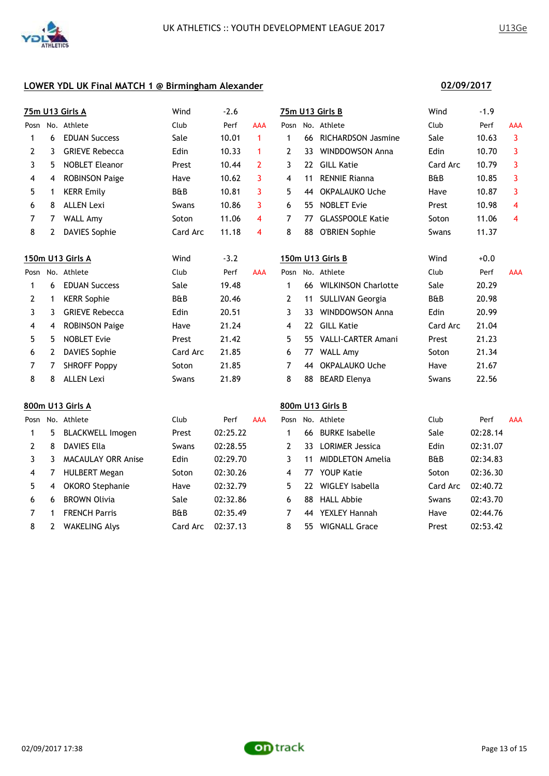

**02/09/2017**

# **LOWER YDL UK Final MATCH 1 @ Birmingham Alexander**

|                |   | <b>75m U13 Girls A</b>    | Wind     | $-2.6$   |              |                |    | 75m U13 Girls B         | Wind           | $-1.9$   |                |
|----------------|---|---------------------------|----------|----------|--------------|----------------|----|-------------------------|----------------|----------|----------------|
|                |   | Posn No. Athlete          | Club     | Perf     | <b>AAA</b>   | Posn           |    | No. Athlete             | Club           | Perf     | <b>AAA</b>     |
| 1              | 6 | <b>EDUAN Success</b>      | Sale     | 10.01    | $\mathbf{1}$ | $\mathbf{1}$   |    | 66 RICHARDSON Jasmine   | Sale           | 10.63    | 3              |
| 2              | 3 | <b>GRIEVE Rebecca</b>     | Edin     | 10.33    | 1            | $\mathbf{2}$   | 33 | <b>WINDDOWSON Anna</b>  | Edin           | 10.70    | 3              |
| 3              | 5 | <b>NOBLET Eleanor</b>     | Prest    | 10.44    | $\mathbf{2}$ | 3              | 22 | <b>GILL Katie</b>       | Card Arc       | 10.79    | 3              |
| 4              | 4 | <b>ROBINSON Paige</b>     | Have     | 10.62    | 3            | $\overline{4}$ | 11 | <b>RENNIE Rianna</b>    | <b>B&amp;B</b> | 10.85    | 3              |
| 5              | 1 | <b>KERR Emily</b>         | B&B      | 10.81    | 3            | 5              | 44 | OKPALAUKO Uche          | Have           | 10.87    | 3              |
| 6              | 8 | <b>ALLEN Lexi</b>         | Swans    | 10.86    | 3            | 6              | 55 | <b>NOBLET Evie</b>      | Prest          | 10.98    | $\overline{4}$ |
| 7              | 7 | <b>WALL Amy</b>           | Soton    | 11.06    | 4            | 7              | 77 | <b>GLASSPOOLE Katie</b> | Soton          | 11.06    | 4              |
| 8              | 2 | <b>DAVIES Sophie</b>      | Card Arc | 11.18    | 4            | 8              | 88 | <b>O'BRIEN Sophie</b>   | Swans          | 11.37    |                |
|                |   | 150m U13 Girls A          | Wind     | $-3.2$   |              |                |    | 150m U13 Girls B        | Wind           | $+0.0$   |                |
|                |   | Posn No. Athlete          | Club     | Perf     | <b>AAA</b>   |                |    | Posn No. Athlete        | Club           | Perf     | <b>AAA</b>     |
| 1              | 6 | <b>EDUAN Success</b>      | Sale     | 19.48    |              | $\mathbf 1$    |    | 66 WILKINSON Charlotte  | Sale           | 20.29    |                |
| 2              | 1 | <b>KERR Sophie</b>        | B&B      | 20.46    |              | $\mathbf{2}$   | 11 | <b>SULLIVAN Georgia</b> | B&B            | 20.98    |                |
| 3              | 3 | <b>GRIEVE Rebecca</b>     | Edin     | 20.51    |              | 3              | 33 | <b>WINDDOWSON Anna</b>  | Edin           | 20.99    |                |
| 4              | 4 | <b>ROBINSON Paige</b>     | Have     | 21.24    |              | 4              | 22 | <b>GILL Katie</b>       | Card Arc       | 21.04    |                |
| 5              | 5 | <b>NOBLET Evie</b>        | Prest    | 21.42    |              | 5              | 55 | VALLI-CARTER Amani      | Prest          | 21.23    |                |
| 6              | 2 | <b>DAVIES Sophie</b>      | Card Arc | 21.85    |              | 6              | 77 | <b>WALL Amy</b>         | Soton          | 21.34    |                |
| $\overline{7}$ | 7 | <b>SHROFF Poppy</b>       | Soton    | 21.85    |              | $\overline{7}$ | 44 | <b>OKPALAUKO Uche</b>   | Have           | 21.67    |                |
| 8              | 8 | <b>ALLEN Lexi</b>         | Swans    | 21.89    |              | 8              | 88 | <b>BEARD Elenya</b>     | Swans          | 22.56    |                |
|                |   | 800m U13 Girls A          |          |          |              |                |    | 800m U13 Girls B        |                |          |                |
|                |   | Posn No. Athlete          | Club     | Perf     | <b>AAA</b>   | Posn           |    | No. Athlete             | Club           | Perf     | <b>AAA</b>     |
| 1              | 5 | <b>BLACKWELL Imogen</b>   | Prest    | 02:25.22 |              | $\mathbf{1}$   | 66 | <b>BURKE Isabelle</b>   | Sale           | 02:28.14 |                |
| 2              | 8 | <b>DAVIES Ella</b>        | Swans    | 02:28.55 |              | $\overline{2}$ | 33 | <b>LORIMER Jessica</b>  | Edin           | 02:31.07 |                |
| 3              | 3 | <b>MACAULAY ORR Anise</b> | Edin     | 02:29.70 |              | 3              | 11 | <b>MIDDLETON Amelia</b> | <b>B&amp;B</b> | 02:34.83 |                |
| 4              | 7 | <b>HULBERT Megan</b>      | Soton    | 02:30.26 |              | 4              | 77 | <b>YOUP Katie</b>       | Soton          | 02:36.30 |                |
| 5              | 4 | <b>OKORO</b> Stephanie    | Have     | 02:32.79 |              | 5              | 22 | WIGLEY Isabella         | Card Arc       | 02:40.72 |                |

6 BROWN Olivia Sale 02:32.86 6 88 HALL Abbie Swans 02:43.70

 1 FRENCH Parris B&B 02:35.49 7 44 YEXLEY Hannah Have 02:44.76 8 2 WAKELING Alys Card Arc 02:37.13 8 55 WIGNALL Grace Prest 02:53.42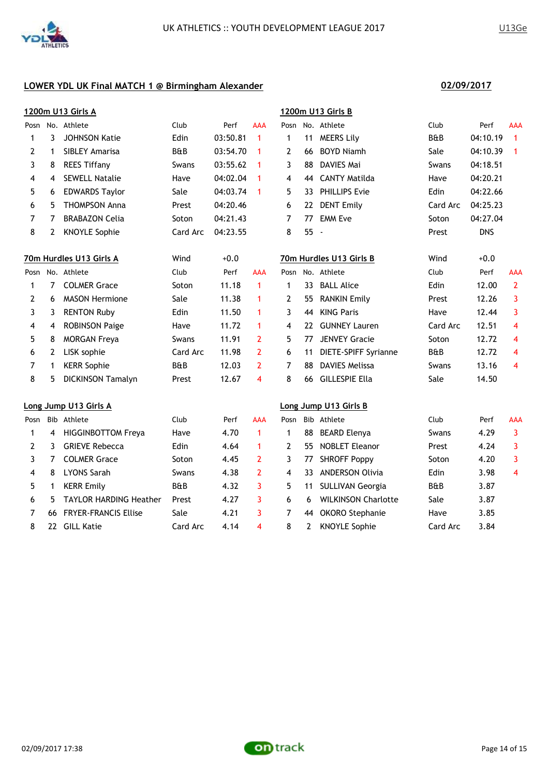

|                |                | <u>1200m U13 Girls A</u>      |          |          |                         |              |              | 1200m U13 Girls B          |                |            |                         |
|----------------|----------------|-------------------------------|----------|----------|-------------------------|--------------|--------------|----------------------------|----------------|------------|-------------------------|
|                |                | Posn No. Athlete              | Club     | Perf     | <b>AAA</b>              |              |              | Posn No. Athlete           | Club           | Perf       | <b>AAA</b>              |
| 1              | 3              | <b>JOHNSON Katie</b>          | Edin     | 03:50.81 | 1                       | 1            | 11           | <b>MEERS Lily</b>          | <b>B&amp;B</b> | 04:10.19   | $\blacktriangleleft$    |
| 2              | $\mathbf 1$    | SIBLEY Amarisa                | B&B      | 03:54.70 | 1                       | $\mathbf{2}$ | 66           | <b>BOYD Niamh</b>          | Sale           | 04:10.39   | $\overline{1}$          |
| 3              | 8              | <b>REES Tiffany</b>           | Swans    | 03:55.62 | 1                       | 3            | 88           | DAVIES Mai                 | Swans          | 04:18.51   |                         |
| 4              | 4              | <b>SEWELL Natalie</b>         | Have     | 04:02.04 | 1                       | 4            | 44           | <b>CANTY Matilda</b>       | Have           | 04:20.21   |                         |
| 5              | 6              | <b>EDWARDS Taylor</b>         | Sale     | 04:03.74 | 1                       | 5            | 33           | <b>PHILLIPS Evie</b>       | Edin           | 04:22.66   |                         |
| 6              | 5.             | <b>THOMPSON Anna</b>          | Prest    | 04:20.46 |                         | 6            |              | 22 DENT Emily              | Card Arc       | 04:25.23   |                         |
| 7              | 7              | <b>BRABAZON Celia</b>         | Soton    | 04:21.43 |                         | 7            |              | 77 EMM Eve                 | Soton          | 04:27.04   |                         |
| 8              | $\mathbf{2}$   | <b>KNOYLE Sophie</b>          | Card Arc | 04:23.55 |                         | 8            | 55 -         |                            | Prest          | <b>DNS</b> |                         |
|                |                | 70m Hurdles U13 Girls A       | Wind     | $+0.0$   |                         |              |              | 70m Hurdles U13 Girls B    | Wind           | $+0.0$     |                         |
|                |                | Posn No. Athlete              | Club     | Perf     | <b>AAA</b>              |              |              | Posn No. Athlete           | Club           | Perf       | AAA                     |
| 1              | $\overline{7}$ | <b>COLMER Grace</b>           | Soton    | 11.18    | $\mathbf{1}$            | $\mathbf{1}$ |              | 33 BALL Alice              | Edin           | 12.00      | $\overline{2}$          |
| $\overline{2}$ | 6              | <b>MASON Hermione</b>         | Sale     | 11.38    | 1                       | $\mathbf{2}$ |              | 55 RANKIN Emily            | Prest          | 12.26      | 3                       |
| 3              | 3              | <b>RENTON Ruby</b>            | Edin     | 11.50    | 1                       | 3            | 44           | <b>KING Paris</b>          | Have           | 12.44      | 3                       |
| 4              | 4              | <b>ROBINSON Paige</b>         | Have     | 11.72    | 1                       | 4            | 22           | <b>GUNNEY Lauren</b>       | Card Arc       | 12.51      | 4                       |
| 5              | 8              | <b>MORGAN Freya</b>           | Swans    | 11.91    | $\overline{2}$          | 5            | 77           | <b>JENVEY Gracie</b>       | Soton          | 12.72      | 4                       |
| 6              | $\mathbf{2}$   | LISK sophie                   | Card Arc | 11.98    | $\mathbf{2}$            | 6            | 11           | DIETE-SPIFF Syrianne       | <b>B&amp;B</b> | 12.72      | $\overline{4}$          |
| 7              | $\mathbf 1$    | <b>KERR Sophie</b>            | B&B      | 12.03    | $\overline{2}$          | 7            | 88           | <b>DAVIES Melissa</b>      | Swans          | 13.16      | $\overline{4}$          |
| 8              | 5              | <b>DICKINSON Tamalyn</b>      | Prest    | 12.67    | $\overline{\mathbf{4}}$ | 8            | 66           | <b>GILLESPIE Ella</b>      | Sale           | 14.50      |                         |
|                |                | Long Jump U13 Girls A         |          |          |                         |              |              | Long Jump U13 Girls B      |                |            |                         |
| Posn           |                | Bib Athlete                   | Club     | Perf     | AAA                     |              |              | Posn Bib Athlete           | Club           | Perf       | AAA                     |
| 1              | 4              | <b>HIGGINBOTTOM Freya</b>     | Have     | 4.70     | $\mathbf{1}$            | $\mathbf{1}$ | 88           | <b>BEARD Elenya</b>        | Swans          | 4.29       | $\overline{3}$          |
| 2              | 3              | <b>GRIEVE Rebecca</b>         | Edin     | 4.64     | 1                       | $\mathbf{2}$ |              | 55 NOBLET Eleanor          | Prest          | 4.24       | 3                       |
| 3              | $\mathbf{7}$   | <b>COLMER Grace</b>           | Soton    | 4.45     | $\overline{2}$          | 3            | 77           | <b>SHROFF Poppy</b>        | Soton          | 4.20       | 3                       |
| 4              | 8              | <b>LYONS Sarah</b>            | Swans    | 4.38     | $\overline{2}$          | 4            | 33           | <b>ANDERSON Olivia</b>     | Edin           | 3.98       | $\overline{\mathbf{4}}$ |
| 5              | 1              | <b>KERR Emily</b>             | B&B      | 4.32     | 3                       | 5            | 11           | <b>SULLIVAN Georgia</b>    | B&B            | 3.87       |                         |
| 6              | 5              | <b>TAYLOR HARDING Heather</b> | Prest    | 4.27     | 3                       | 6            | 6            | <b>WILKINSON Charlotte</b> | Sale           | 3.87       |                         |
| 7              | 66             | <b>FRYER-FRANCIS Ellise</b>   | Sale     | 4.21     | 3                       | 7            | 44           | <b>OKORO</b> Stephanie     | Have           | 3.85       |                         |
| 8              |                | 22 GILL Katie                 | Card Arc | 4.14     | $\overline{\mathbf{4}}$ | 8            | $\mathbf{2}$ | <b>KNOYLE Sophie</b>       | Card Arc       | 3.84       |                         |
|                |                |                               |          |          |                         |              |              |                            |                |            |                         |